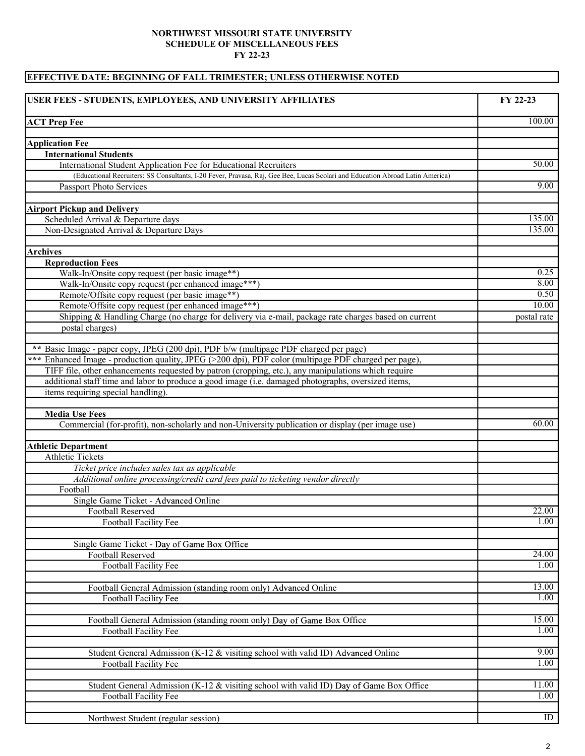## NORTHWEST MISSOURI STATE UNIVERSITY SCHEDULE OF MISCELLANEOUS FEES FY 22-23

## EFFECTIVE DATE: BEGINNING OF FALL TRIMESTER; UNLESS OTHERWISE NOTED

| USER FEES - STUDENTS, EMPLOYEES, AND UNIVERSITY AFFILIATES                                                                    | FY 22-23    |
|-------------------------------------------------------------------------------------------------------------------------------|-------------|
| <b>ACT Prep Fee</b>                                                                                                           | 100.00      |
| <b>Application Fee</b>                                                                                                        |             |
| <b>International Students</b>                                                                                                 |             |
| International Student Application Fee for Educational Recruiters                                                              | 50.00       |
| (Educational Recruiters: SS Consultants, I-20 Fever, Pravasa, Raj, Gee Bee, Lucas Scolari and Education Abroad Latin America) |             |
| Passport Photo Services                                                                                                       | 9.00        |
|                                                                                                                               |             |
| <b>Airport Pickup and Delivery</b>                                                                                            |             |
| Scheduled Arrival & Departure days                                                                                            | 135.00      |
| Non-Designated Arrival & Departure Days                                                                                       | 135.00      |
| <b>Archives</b>                                                                                                               |             |
| <b>Reproduction Fees</b>                                                                                                      |             |
| Walk-In/Onsite copy request (per basic image**)                                                                               | 0.25        |
| Walk-In/Onsite copy request (per enhanced image***)                                                                           | 8.00        |
| Remote/Offsite copy request (per basic image**)                                                                               | 0.50        |
| Remote/Offsite copy request (per enhanced image***)                                                                           | 10.00       |
| Shipping & Handling Charge (no charge for delivery via e-mail, package rate charges based on current                          | postal rate |
| postal charges)                                                                                                               |             |
| ** Basic Image - paper copy, JPEG (200 dpi), PDF b/w (multipage PDF charged per page)                                         |             |
| *** Enhanced Image - production quality, JPEG (>200 dpi), PDF color (multipage PDF charged per page),                         |             |
| TIFF file, other enhancements requested by patron (cropping, etc.), any manipulations which require                           |             |
| additional staff time and labor to produce a good image (i.e. damaged photographs, oversized items,                           |             |
| items requiring special handling).                                                                                            |             |
|                                                                                                                               |             |
| <b>Media Use Fees</b>                                                                                                         |             |
| Commercial (for-profit), non-scholarly and non-University publication or display (per image use)                              | 60.00       |
| <b>Athletic Department</b>                                                                                                    |             |
| <b>Athletic Tickets</b>                                                                                                       |             |
| Ticket price includes sales tax as applicable                                                                                 |             |
| Additional online processing/credit card fees paid to ticketing vendor directly                                               |             |
| Football                                                                                                                      |             |
| Single Game Ticket - Advanced Online                                                                                          |             |
| Football Reserved                                                                                                             | 22.00       |
| Football Facility Fee                                                                                                         | 1.00        |
| Single Game Ticket - Day of Game Box Office                                                                                   |             |
| <b>Football Reserved</b>                                                                                                      | 24.00       |
| <b>Football Facility Fee</b>                                                                                                  | 1.00        |
| Football General Admission (standing room only) Advanced Online                                                               | 13.00       |
| Football Facility Fee                                                                                                         | 1.00        |
|                                                                                                                               |             |
| Football General Admission (standing room only) Day of Game Box Office                                                        | 15.00       |
| Football Facility Fee                                                                                                         | 1.00        |
| Student General Admission (K-12 & visiting school with valid ID) Advanced Online                                              | 9.00        |
| Football Facility Fee                                                                                                         | 1.00        |
|                                                                                                                               |             |
| Student General Admission (K-12 & visiting school with valid ID) Day of Game Box Office                                       | 11.00       |
| Football Facility Fee                                                                                                         | 1.00        |
|                                                                                                                               |             |
| Northwest Student (regular session)                                                                                           | ID          |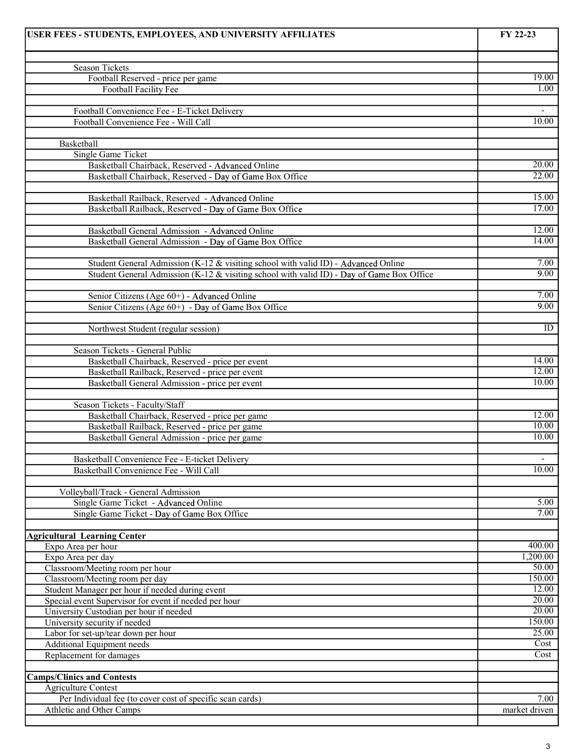| USER FEES - STUDENTS, EMPLOYEES, AND UNIVERSITY AFFILIATES                                       | FY 22-23                 |
|--------------------------------------------------------------------------------------------------|--------------------------|
|                                                                                                  |                          |
| <b>Season Tickets</b>                                                                            | 19.00                    |
| Football Reserved - price per game<br><b>Football Facility Fee</b>                               | 1.00                     |
|                                                                                                  |                          |
| Football Convenience Fee - E-Ticket Delivery                                                     | $\overline{\phantom{a}}$ |
| Football Convenience Fee - Will Call                                                             | 10.00                    |
|                                                                                                  |                          |
| Basketball                                                                                       |                          |
| Single Game Ticket                                                                               |                          |
| Basketball Chairback, Reserved - Advanced Online                                                 | 20.00<br>22.00           |
| Basketball Chairback, Reserved - Day of Game Box Office                                          |                          |
| Basketball Railback, Reserved - Advanced Online                                                  | 15.00                    |
| Basketball Railback, Reserved - Day of Game Box Office                                           | 17.00                    |
|                                                                                                  |                          |
| Basketball General Admission - Advanced Online                                                   | 12.00                    |
| Basketball General Admission - Day of Game Box Office                                            | 14.00                    |
|                                                                                                  |                          |
| Student General Admission (K-12 & visiting school with valid ID) - Advanced Online               | 7.00<br>9.00             |
| Student General Admission (K-12 & visiting school with valid ID) - Day of Game Box Office        |                          |
| Senior Citizens (Age 60+) - Advanced Online                                                      | 7.00                     |
| Senior Citizens (Age 60+) - Day of Game Box Office                                               | 9.00                     |
|                                                                                                  |                          |
| Northwest Student (regular session)                                                              | ID                       |
|                                                                                                  |                          |
| Season Tickets - General Public                                                                  |                          |
| Basketball Chairback, Reserved - price per event                                                 | 14.00                    |
| Basketball Railback, Reserved - price per event                                                  | 12.00<br>10.00           |
| Basketball General Admission - price per event                                                   |                          |
| Season Tickets - Faculty/Staff                                                                   |                          |
| Basketball Chairback, Reserved - price per game                                                  | 12.00                    |
| Basketball Railback, Reserved - price per game                                                   | 10.00                    |
| Basketball General Admission - price per game                                                    | 10.00                    |
|                                                                                                  |                          |
| Basketball Convenience Fee - E-ticket Delivery                                                   | $\overline{\phantom{a}}$ |
| Basketball Convenience Fee - Will Call                                                           | 10.00                    |
|                                                                                                  |                          |
| Volleyball/Track - General Admission<br>Single Game Ticket - Advanced Online                     | 5.00                     |
| Single Game Ticket - Day of Game Box Office                                                      | 7.00                     |
|                                                                                                  |                          |
| <b>Agricultural Learning Center</b>                                                              |                          |
| Expo Area per hour                                                                               | 400.00                   |
| Expo Area per day                                                                                | 1,200.00                 |
| Classroom/Meeting room per hour                                                                  | 50.00                    |
| Classroom/Meeting room per day                                                                   | 150.00                   |
| Student Manager per hour if needed during event                                                  | 12.00<br>20.00           |
| Special event Supervisor for event if needed per hour<br>University Custodian per hour if needed | 20.00                    |
| University security if needed                                                                    | 150.00                   |
| Labor for set-up/tear down per hour                                                              | 25.00                    |
| Additional Equipment needs                                                                       | Cost                     |
| Replacement for damages                                                                          | Cost                     |
|                                                                                                  |                          |
| <b>Camps/Clinics and Contests</b>                                                                |                          |
| <b>Agriculture Contest</b>                                                                       |                          |
| Per Individual fee (to cover cost of specific scan cards)                                        | 7.00                     |
| Athletic and Other Camps                                                                         | market driven            |
|                                                                                                  |                          |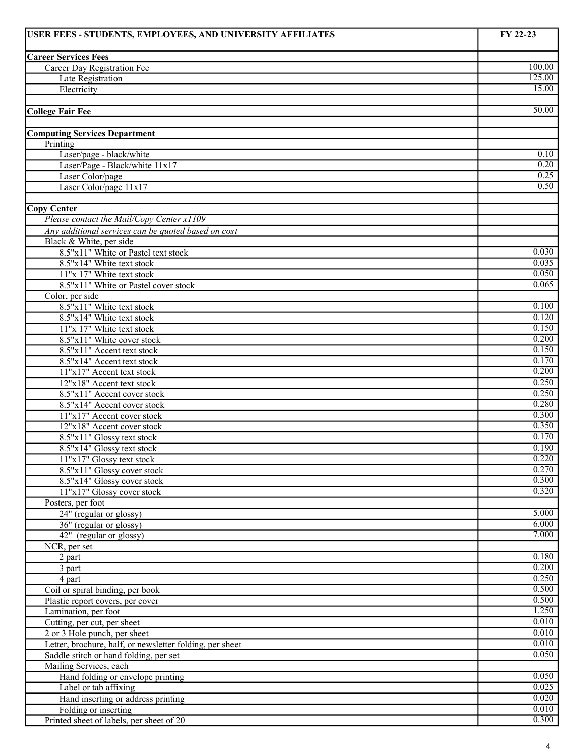| USER FEES - STUDENTS, EMPLOYEES, AND UNIVERSITY AFFILIATES | FY 22-23       |
|------------------------------------------------------------|----------------|
|                                                            |                |
| <b>Career Services Fees</b><br>Career Day Registration Fee | 100.00         |
| Late Registration                                          | 125.00         |
| Electricity                                                | 15.00          |
|                                                            |                |
| <b>College Fair Fee</b>                                    | 50.00          |
|                                                            |                |
| <b>Computing Services Department</b>                       |                |
| Printing<br>Laser/page - black/white                       | 0.10           |
| Laser/Page - Black/white 11x17                             | 0.20           |
| Laser Color/page                                           | 0.25           |
| Laser Color/page 11x17                                     | 0.50           |
|                                                            |                |
| <b>Copy Center</b>                                         |                |
| Please contact the Mail/Copy Center x1109                  |                |
| Any additional services can be quoted based on cost        |                |
| Black & White, per side                                    |                |
| 8.5"x11" White or Pastel text stock                        | 0.030          |
| 8.5"x14" White text stock                                  | 0.035          |
| 11"x 17" White text stock                                  | 0.050          |
| 8.5"x11" White or Pastel cover stock                       | 0.065          |
| Color, per side<br>8.5"x11" White text stock               | 0.100          |
| 8.5"x14" White text stock                                  | 0.120          |
| 11"x 17" White text stock                                  | 0.150          |
| 8.5"x11" White cover stock                                 | 0.200          |
| 8.5"x11" Accent text stock                                 | 0.150          |
| 8.5"x14" Accent text stock                                 | 0.170          |
| 11"x17" Accent text stock                                  | 0.200          |
| 12"x18" Accent text stock                                  | 0.250          |
| 8.5"x11" Accent cover stock                                | 0.250          |
| 8.5"x14" Accent cover stock                                | 0.280          |
| 11"x17" Accent cover stock                                 | 0.300          |
| 12"x18" Accent cover stock                                 | 0.350          |
| 8.5"x11" Glossy text stock                                 | 0.170          |
| 8.5"x14" Glossy text stock                                 | 0.190          |
| 11"x17" Glossy text stock                                  | 0.220<br>0.270 |
| 8.5"x11" Glossy cover stock<br>8.5"x14" Glossy cover stock | 0.300          |
| 11"x17" Glossy cover stock                                 | 0.320          |
| Posters, per foot                                          |                |
| $24"$ (regular or glossy)                                  | 5.000          |
| 36" (regular or glossy)                                    | 6.000          |
| 42" (regular or glossy)                                    | 7.000          |
| NCR, per set                                               |                |
| 2 part                                                     | 0.180          |
| 3 part                                                     | 0.200          |
| 4 part                                                     | 0.250          |
| Coil or spiral binding, per book                           | 0.500<br>0.500 |
| Plastic report covers, per cover<br>Lamination, per foot   | 1.250          |
| Cutting, per cut, per sheet                                | 0.010          |
| 2 or 3 Hole punch, per sheet                               | 0.010          |
| Letter, brochure, half, or newsletter folding, per sheet   | 0.010          |
| Saddle stitch or hand folding, per set                     | 0.050          |
| Mailing Services, each                                     |                |
| Hand folding or envelope printing                          | 0.050          |
| Label or tab affixing                                      | 0.025          |
| Hand inserting or address printing                         | 0.020          |
| Folding or inserting                                       | 0.010          |
| Printed sheet of labels, per sheet of 20                   | 0.300          |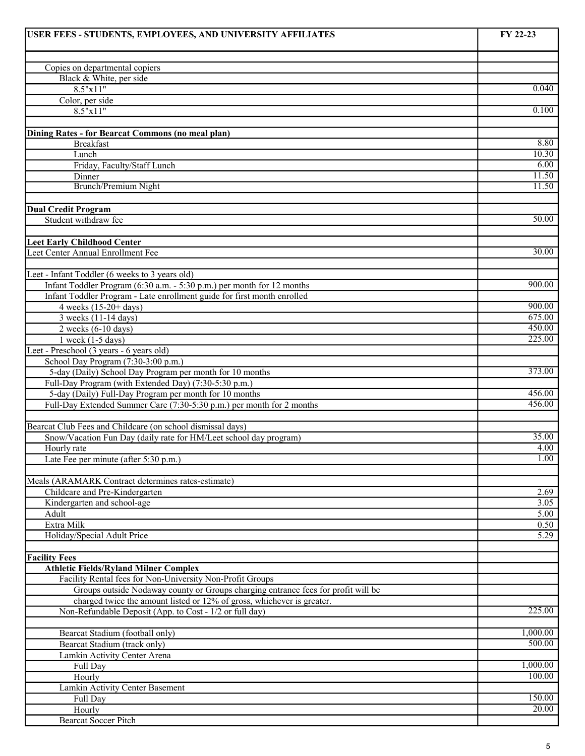| USER FEES - STUDENTS, EMPLOYEES, AND UNIVERSITY AFFILIATES                        | FY 22-23         |
|-----------------------------------------------------------------------------------|------------------|
|                                                                                   |                  |
| Copies on departmental copiers                                                    |                  |
| Black & White, per side                                                           |                  |
| 8.5"x11"                                                                          | 0.040            |
| Color, per side                                                                   |                  |
| 8.5"x11"                                                                          | 0.100            |
|                                                                                   |                  |
| Dining Rates - for Bearcat Commons (no meal plan)                                 |                  |
| <b>Breakfast</b>                                                                  | 8.80             |
| Lunch                                                                             | 10.30            |
| Friday, Faculty/Staff Lunch                                                       | 6.00             |
| Dinner<br>Brunch/Premium Night                                                    | 11.50<br>11.50   |
|                                                                                   |                  |
| <b>Dual Credit Program</b>                                                        |                  |
| Student withdraw fee                                                              | 50.00            |
|                                                                                   |                  |
| <b>Leet Early Childhood Center</b>                                                |                  |
| Leet Center Annual Enrollment Fee                                                 | 30.00            |
|                                                                                   |                  |
| Leet - Infant Toddler (6 weeks to 3 years old)                                    |                  |
| Infant Toddler Program (6:30 a.m. - 5:30 p.m.) per month for 12 months            | 900.00           |
| Infant Toddler Program - Late enrollment guide for first month enrolled           |                  |
| 4 weeks $(15-20+)$ days)                                                          | 900.00           |
| 3 weeks (11-14 days)                                                              | 675.00           |
| $2$ weeks (6-10 days)                                                             | 450.00           |
| $1$ week $(1-5$ days)                                                             | 225.00           |
| Leet - Preschool (3 years - 6 years old)                                          |                  |
| School Day Program (7:30-3:00 p.m.)                                               |                  |
| 5-day (Daily) School Day Program per month for 10 months                          | 373.00           |
| Full-Day Program (with Extended Day) (7:30-5:30 p.m.)                             |                  |
| 5-day (Daily) Full-Day Program per month for 10 months                            | 456.00<br>456.00 |
| Full-Day Extended Summer Care (7:30-5:30 p.m.) per month for 2 months             |                  |
| Bearcat Club Fees and Childcare (on school dismissal days)                        |                  |
| Snow/Vacation Fun Day (daily rate for HM/Leet school day program)                 | 35.00            |
| Hourly rate                                                                       | 4.00             |
| Late Fee per minute (after 5:30 p.m.)                                             | 1.00             |
|                                                                                   |                  |
| Meals (ARAMARK Contract determines rates-estimate)                                |                  |
| Childcare and Pre-Kindergarten                                                    | 2.69             |
| Kindergarten and school-age                                                       | 3.05             |
| Adult                                                                             | 5.00             |
| Extra Milk                                                                        | 0.50             |
| Holiday/Special Adult Price                                                       | 5.29             |
|                                                                                   |                  |
| <b>Facility Fees</b>                                                              |                  |
| <b>Athletic Fields/Ryland Milner Complex</b>                                      |                  |
| Facility Rental fees for Non-University Non-Profit Groups                         |                  |
| Groups outside Nodaway county or Groups charging entrance fees for profit will be |                  |
| charged twice the amount listed or 12% of gross, whichever is greater.            | 225.00           |
| Non-Refundable Deposit (App. to Cost - 1/2 or full day)                           |                  |
| Bearcat Stadium (football only)                                                   | 1,000.00         |
| Bearcat Stadium (track only)                                                      | 500.00           |
| Lamkin Activity Center Arena                                                      |                  |
| Full Day                                                                          | 1,000.00         |
| Hourly                                                                            | 100.00           |
| Lamkin Activity Center Basement                                                   |                  |
| Full Day                                                                          | 150.00           |
| Hourly                                                                            | 20.00            |
| <b>Bearcat Soccer Pitch</b>                                                       |                  |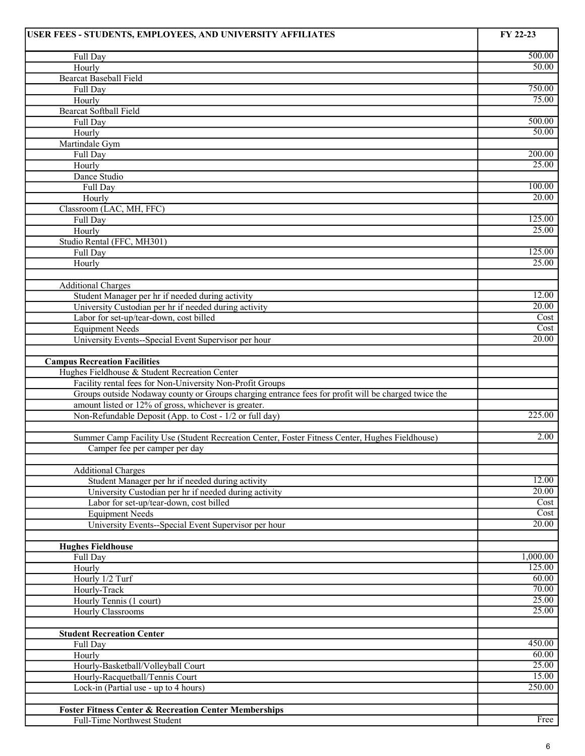| 500.00<br>Full Day<br>50.00<br>Hourly<br><b>Bearcat Baseball Field</b><br>750.00<br>Full Day<br>75.00<br>Hourly<br><b>Bearcat Softball Field</b><br>500.00<br>Full Day<br>50.00<br>Hourly<br>Martindale Gym<br>200.00<br>Full Day<br>25.00<br>Hourly<br>Dance Studio<br>100.00<br>Full Day<br>$\overline{20.00}$<br>Hourly<br>Classroom (LAC, MH, FFC)<br>125.00<br>Full Day<br>25.00<br>Hourly<br>Studio Rental (FFC, MH301)<br>125.00<br>Full Day<br>25.00<br>Hourly<br><b>Additional Charges</b><br>12.00<br>Student Manager per hr if needed during activity<br>20.00<br>University Custodian per hr if needed during activity<br>Cost<br>Labor for set-up/tear-down, cost billed<br>Cost<br><b>Equipment Needs</b><br>20.00<br>University Events--Special Event Supervisor per hour<br><b>Campus Recreation Facilities</b><br>Hughes Fieldhouse & Student Recreation Center<br>Facility rental fees for Non-University Non-Profit Groups<br>Groups outside Nodaway county or Groups charging entrance fees for profit will be charged twice the<br>amount listed or 12% of gross, whichever is greater.<br>225.00<br>Non-Refundable Deposit (App. to Cost - 1/2 or full day)<br>2.00<br>Summer Camp Facility Use (Student Recreation Center, Foster Fitness Center, Hughes Fieldhouse)<br>Camper fee per camper per day<br><b>Additional Charges</b><br>12.00<br>Student Manager per hr if needed during activity<br>20.00<br>University Custodian per hr if needed during activity<br>Labor for set-up/tear-down, cost billed<br>Cost<br>Cost<br><b>Equipment Needs</b><br>$\overline{20.00}$<br>University Events--Special Event Supervisor per hour<br><b>Hughes Fieldhouse</b><br>1,000.00<br>Full Day<br>125.00<br>Hourly<br>Hourly 1/2 Turf<br>60.00<br>70.00<br>Hourly-Track<br>25.00<br>Hourly Tennis (1 court)<br>25.00<br>Hourly Classrooms<br><b>Student Recreation Center</b><br>450.00<br>Full Day<br>60.00<br>Hourly<br>25.00<br>Hourly-Basketball/Volleyball Court<br>15.00<br>Hourly-Racquetball/Tennis Court<br>250.00<br>Lock-in (Partial use - up to 4 hours)<br><b>Foster Fitness Center &amp; Recreation Center Memberships</b><br>Free<br>Full-Time Northwest Student | USER FEES - STUDENTS, EMPLOYEES, AND UNIVERSITY AFFILIATES | FY 22-23 |
|--------------------------------------------------------------------------------------------------------------------------------------------------------------------------------------------------------------------------------------------------------------------------------------------------------------------------------------------------------------------------------------------------------------------------------------------------------------------------------------------------------------------------------------------------------------------------------------------------------------------------------------------------------------------------------------------------------------------------------------------------------------------------------------------------------------------------------------------------------------------------------------------------------------------------------------------------------------------------------------------------------------------------------------------------------------------------------------------------------------------------------------------------------------------------------------------------------------------------------------------------------------------------------------------------------------------------------------------------------------------------------------------------------------------------------------------------------------------------------------------------------------------------------------------------------------------------------------------------------------------------------------------------------------------------------------------------------------------------------------------------------------------------------------------------------------------------------------------------------------------------------------------------------------------------------------------------------------------------------------------------------------------------------------------------------------------------------------------------------------------------------------------------------------------------------------------------|------------------------------------------------------------|----------|
|                                                                                                                                                                                                                                                                                                                                                                                                                                                                                                                                                                                                                                                                                                                                                                                                                                                                                                                                                                                                                                                                                                                                                                                                                                                                                                                                                                                                                                                                                                                                                                                                                                                                                                                                                                                                                                                                                                                                                                                                                                                                                                                                                                                                  |                                                            |          |
|                                                                                                                                                                                                                                                                                                                                                                                                                                                                                                                                                                                                                                                                                                                                                                                                                                                                                                                                                                                                                                                                                                                                                                                                                                                                                                                                                                                                                                                                                                                                                                                                                                                                                                                                                                                                                                                                                                                                                                                                                                                                                                                                                                                                  |                                                            |          |
|                                                                                                                                                                                                                                                                                                                                                                                                                                                                                                                                                                                                                                                                                                                                                                                                                                                                                                                                                                                                                                                                                                                                                                                                                                                                                                                                                                                                                                                                                                                                                                                                                                                                                                                                                                                                                                                                                                                                                                                                                                                                                                                                                                                                  |                                                            |          |
|                                                                                                                                                                                                                                                                                                                                                                                                                                                                                                                                                                                                                                                                                                                                                                                                                                                                                                                                                                                                                                                                                                                                                                                                                                                                                                                                                                                                                                                                                                                                                                                                                                                                                                                                                                                                                                                                                                                                                                                                                                                                                                                                                                                                  |                                                            |          |
|                                                                                                                                                                                                                                                                                                                                                                                                                                                                                                                                                                                                                                                                                                                                                                                                                                                                                                                                                                                                                                                                                                                                                                                                                                                                                                                                                                                                                                                                                                                                                                                                                                                                                                                                                                                                                                                                                                                                                                                                                                                                                                                                                                                                  |                                                            |          |
|                                                                                                                                                                                                                                                                                                                                                                                                                                                                                                                                                                                                                                                                                                                                                                                                                                                                                                                                                                                                                                                                                                                                                                                                                                                                                                                                                                                                                                                                                                                                                                                                                                                                                                                                                                                                                                                                                                                                                                                                                                                                                                                                                                                                  |                                                            |          |
|                                                                                                                                                                                                                                                                                                                                                                                                                                                                                                                                                                                                                                                                                                                                                                                                                                                                                                                                                                                                                                                                                                                                                                                                                                                                                                                                                                                                                                                                                                                                                                                                                                                                                                                                                                                                                                                                                                                                                                                                                                                                                                                                                                                                  |                                                            |          |
|                                                                                                                                                                                                                                                                                                                                                                                                                                                                                                                                                                                                                                                                                                                                                                                                                                                                                                                                                                                                                                                                                                                                                                                                                                                                                                                                                                                                                                                                                                                                                                                                                                                                                                                                                                                                                                                                                                                                                                                                                                                                                                                                                                                                  |                                                            |          |
|                                                                                                                                                                                                                                                                                                                                                                                                                                                                                                                                                                                                                                                                                                                                                                                                                                                                                                                                                                                                                                                                                                                                                                                                                                                                                                                                                                                                                                                                                                                                                                                                                                                                                                                                                                                                                                                                                                                                                                                                                                                                                                                                                                                                  |                                                            |          |
|                                                                                                                                                                                                                                                                                                                                                                                                                                                                                                                                                                                                                                                                                                                                                                                                                                                                                                                                                                                                                                                                                                                                                                                                                                                                                                                                                                                                                                                                                                                                                                                                                                                                                                                                                                                                                                                                                                                                                                                                                                                                                                                                                                                                  |                                                            |          |
|                                                                                                                                                                                                                                                                                                                                                                                                                                                                                                                                                                                                                                                                                                                                                                                                                                                                                                                                                                                                                                                                                                                                                                                                                                                                                                                                                                                                                                                                                                                                                                                                                                                                                                                                                                                                                                                                                                                                                                                                                                                                                                                                                                                                  |                                                            |          |
|                                                                                                                                                                                                                                                                                                                                                                                                                                                                                                                                                                                                                                                                                                                                                                                                                                                                                                                                                                                                                                                                                                                                                                                                                                                                                                                                                                                                                                                                                                                                                                                                                                                                                                                                                                                                                                                                                                                                                                                                                                                                                                                                                                                                  |                                                            |          |
|                                                                                                                                                                                                                                                                                                                                                                                                                                                                                                                                                                                                                                                                                                                                                                                                                                                                                                                                                                                                                                                                                                                                                                                                                                                                                                                                                                                                                                                                                                                                                                                                                                                                                                                                                                                                                                                                                                                                                                                                                                                                                                                                                                                                  |                                                            |          |
|                                                                                                                                                                                                                                                                                                                                                                                                                                                                                                                                                                                                                                                                                                                                                                                                                                                                                                                                                                                                                                                                                                                                                                                                                                                                                                                                                                                                                                                                                                                                                                                                                                                                                                                                                                                                                                                                                                                                                                                                                                                                                                                                                                                                  |                                                            |          |
|                                                                                                                                                                                                                                                                                                                                                                                                                                                                                                                                                                                                                                                                                                                                                                                                                                                                                                                                                                                                                                                                                                                                                                                                                                                                                                                                                                                                                                                                                                                                                                                                                                                                                                                                                                                                                                                                                                                                                                                                                                                                                                                                                                                                  |                                                            |          |
|                                                                                                                                                                                                                                                                                                                                                                                                                                                                                                                                                                                                                                                                                                                                                                                                                                                                                                                                                                                                                                                                                                                                                                                                                                                                                                                                                                                                                                                                                                                                                                                                                                                                                                                                                                                                                                                                                                                                                                                                                                                                                                                                                                                                  |                                                            |          |
|                                                                                                                                                                                                                                                                                                                                                                                                                                                                                                                                                                                                                                                                                                                                                                                                                                                                                                                                                                                                                                                                                                                                                                                                                                                                                                                                                                                                                                                                                                                                                                                                                                                                                                                                                                                                                                                                                                                                                                                                                                                                                                                                                                                                  |                                                            |          |
|                                                                                                                                                                                                                                                                                                                                                                                                                                                                                                                                                                                                                                                                                                                                                                                                                                                                                                                                                                                                                                                                                                                                                                                                                                                                                                                                                                                                                                                                                                                                                                                                                                                                                                                                                                                                                                                                                                                                                                                                                                                                                                                                                                                                  |                                                            |          |
|                                                                                                                                                                                                                                                                                                                                                                                                                                                                                                                                                                                                                                                                                                                                                                                                                                                                                                                                                                                                                                                                                                                                                                                                                                                                                                                                                                                                                                                                                                                                                                                                                                                                                                                                                                                                                                                                                                                                                                                                                                                                                                                                                                                                  |                                                            |          |
|                                                                                                                                                                                                                                                                                                                                                                                                                                                                                                                                                                                                                                                                                                                                                                                                                                                                                                                                                                                                                                                                                                                                                                                                                                                                                                                                                                                                                                                                                                                                                                                                                                                                                                                                                                                                                                                                                                                                                                                                                                                                                                                                                                                                  |                                                            |          |
|                                                                                                                                                                                                                                                                                                                                                                                                                                                                                                                                                                                                                                                                                                                                                                                                                                                                                                                                                                                                                                                                                                                                                                                                                                                                                                                                                                                                                                                                                                                                                                                                                                                                                                                                                                                                                                                                                                                                                                                                                                                                                                                                                                                                  |                                                            |          |
|                                                                                                                                                                                                                                                                                                                                                                                                                                                                                                                                                                                                                                                                                                                                                                                                                                                                                                                                                                                                                                                                                                                                                                                                                                                                                                                                                                                                                                                                                                                                                                                                                                                                                                                                                                                                                                                                                                                                                                                                                                                                                                                                                                                                  |                                                            |          |
|                                                                                                                                                                                                                                                                                                                                                                                                                                                                                                                                                                                                                                                                                                                                                                                                                                                                                                                                                                                                                                                                                                                                                                                                                                                                                                                                                                                                                                                                                                                                                                                                                                                                                                                                                                                                                                                                                                                                                                                                                                                                                                                                                                                                  |                                                            |          |
|                                                                                                                                                                                                                                                                                                                                                                                                                                                                                                                                                                                                                                                                                                                                                                                                                                                                                                                                                                                                                                                                                                                                                                                                                                                                                                                                                                                                                                                                                                                                                                                                                                                                                                                                                                                                                                                                                                                                                                                                                                                                                                                                                                                                  |                                                            |          |
|                                                                                                                                                                                                                                                                                                                                                                                                                                                                                                                                                                                                                                                                                                                                                                                                                                                                                                                                                                                                                                                                                                                                                                                                                                                                                                                                                                                                                                                                                                                                                                                                                                                                                                                                                                                                                                                                                                                                                                                                                                                                                                                                                                                                  |                                                            |          |
|                                                                                                                                                                                                                                                                                                                                                                                                                                                                                                                                                                                                                                                                                                                                                                                                                                                                                                                                                                                                                                                                                                                                                                                                                                                                                                                                                                                                                                                                                                                                                                                                                                                                                                                                                                                                                                                                                                                                                                                                                                                                                                                                                                                                  |                                                            |          |
|                                                                                                                                                                                                                                                                                                                                                                                                                                                                                                                                                                                                                                                                                                                                                                                                                                                                                                                                                                                                                                                                                                                                                                                                                                                                                                                                                                                                                                                                                                                                                                                                                                                                                                                                                                                                                                                                                                                                                                                                                                                                                                                                                                                                  |                                                            |          |
|                                                                                                                                                                                                                                                                                                                                                                                                                                                                                                                                                                                                                                                                                                                                                                                                                                                                                                                                                                                                                                                                                                                                                                                                                                                                                                                                                                                                                                                                                                                                                                                                                                                                                                                                                                                                                                                                                                                                                                                                                                                                                                                                                                                                  |                                                            |          |
|                                                                                                                                                                                                                                                                                                                                                                                                                                                                                                                                                                                                                                                                                                                                                                                                                                                                                                                                                                                                                                                                                                                                                                                                                                                                                                                                                                                                                                                                                                                                                                                                                                                                                                                                                                                                                                                                                                                                                                                                                                                                                                                                                                                                  |                                                            |          |
|                                                                                                                                                                                                                                                                                                                                                                                                                                                                                                                                                                                                                                                                                                                                                                                                                                                                                                                                                                                                                                                                                                                                                                                                                                                                                                                                                                                                                                                                                                                                                                                                                                                                                                                                                                                                                                                                                                                                                                                                                                                                                                                                                                                                  |                                                            |          |
|                                                                                                                                                                                                                                                                                                                                                                                                                                                                                                                                                                                                                                                                                                                                                                                                                                                                                                                                                                                                                                                                                                                                                                                                                                                                                                                                                                                                                                                                                                                                                                                                                                                                                                                                                                                                                                                                                                                                                                                                                                                                                                                                                                                                  |                                                            |          |
|                                                                                                                                                                                                                                                                                                                                                                                                                                                                                                                                                                                                                                                                                                                                                                                                                                                                                                                                                                                                                                                                                                                                                                                                                                                                                                                                                                                                                                                                                                                                                                                                                                                                                                                                                                                                                                                                                                                                                                                                                                                                                                                                                                                                  |                                                            |          |
|                                                                                                                                                                                                                                                                                                                                                                                                                                                                                                                                                                                                                                                                                                                                                                                                                                                                                                                                                                                                                                                                                                                                                                                                                                                                                                                                                                                                                                                                                                                                                                                                                                                                                                                                                                                                                                                                                                                                                                                                                                                                                                                                                                                                  |                                                            |          |
|                                                                                                                                                                                                                                                                                                                                                                                                                                                                                                                                                                                                                                                                                                                                                                                                                                                                                                                                                                                                                                                                                                                                                                                                                                                                                                                                                                                                                                                                                                                                                                                                                                                                                                                                                                                                                                                                                                                                                                                                                                                                                                                                                                                                  |                                                            |          |
|                                                                                                                                                                                                                                                                                                                                                                                                                                                                                                                                                                                                                                                                                                                                                                                                                                                                                                                                                                                                                                                                                                                                                                                                                                                                                                                                                                                                                                                                                                                                                                                                                                                                                                                                                                                                                                                                                                                                                                                                                                                                                                                                                                                                  |                                                            |          |
|                                                                                                                                                                                                                                                                                                                                                                                                                                                                                                                                                                                                                                                                                                                                                                                                                                                                                                                                                                                                                                                                                                                                                                                                                                                                                                                                                                                                                                                                                                                                                                                                                                                                                                                                                                                                                                                                                                                                                                                                                                                                                                                                                                                                  |                                                            |          |
|                                                                                                                                                                                                                                                                                                                                                                                                                                                                                                                                                                                                                                                                                                                                                                                                                                                                                                                                                                                                                                                                                                                                                                                                                                                                                                                                                                                                                                                                                                                                                                                                                                                                                                                                                                                                                                                                                                                                                                                                                                                                                                                                                                                                  |                                                            |          |
|                                                                                                                                                                                                                                                                                                                                                                                                                                                                                                                                                                                                                                                                                                                                                                                                                                                                                                                                                                                                                                                                                                                                                                                                                                                                                                                                                                                                                                                                                                                                                                                                                                                                                                                                                                                                                                                                                                                                                                                                                                                                                                                                                                                                  |                                                            |          |
|                                                                                                                                                                                                                                                                                                                                                                                                                                                                                                                                                                                                                                                                                                                                                                                                                                                                                                                                                                                                                                                                                                                                                                                                                                                                                                                                                                                                                                                                                                                                                                                                                                                                                                                                                                                                                                                                                                                                                                                                                                                                                                                                                                                                  |                                                            |          |
|                                                                                                                                                                                                                                                                                                                                                                                                                                                                                                                                                                                                                                                                                                                                                                                                                                                                                                                                                                                                                                                                                                                                                                                                                                                                                                                                                                                                                                                                                                                                                                                                                                                                                                                                                                                                                                                                                                                                                                                                                                                                                                                                                                                                  |                                                            |          |
|                                                                                                                                                                                                                                                                                                                                                                                                                                                                                                                                                                                                                                                                                                                                                                                                                                                                                                                                                                                                                                                                                                                                                                                                                                                                                                                                                                                                                                                                                                                                                                                                                                                                                                                                                                                                                                                                                                                                                                                                                                                                                                                                                                                                  |                                                            |          |
|                                                                                                                                                                                                                                                                                                                                                                                                                                                                                                                                                                                                                                                                                                                                                                                                                                                                                                                                                                                                                                                                                                                                                                                                                                                                                                                                                                                                                                                                                                                                                                                                                                                                                                                                                                                                                                                                                                                                                                                                                                                                                                                                                                                                  |                                                            |          |
|                                                                                                                                                                                                                                                                                                                                                                                                                                                                                                                                                                                                                                                                                                                                                                                                                                                                                                                                                                                                                                                                                                                                                                                                                                                                                                                                                                                                                                                                                                                                                                                                                                                                                                                                                                                                                                                                                                                                                                                                                                                                                                                                                                                                  |                                                            |          |
|                                                                                                                                                                                                                                                                                                                                                                                                                                                                                                                                                                                                                                                                                                                                                                                                                                                                                                                                                                                                                                                                                                                                                                                                                                                                                                                                                                                                                                                                                                                                                                                                                                                                                                                                                                                                                                                                                                                                                                                                                                                                                                                                                                                                  |                                                            |          |
|                                                                                                                                                                                                                                                                                                                                                                                                                                                                                                                                                                                                                                                                                                                                                                                                                                                                                                                                                                                                                                                                                                                                                                                                                                                                                                                                                                                                                                                                                                                                                                                                                                                                                                                                                                                                                                                                                                                                                                                                                                                                                                                                                                                                  |                                                            |          |
|                                                                                                                                                                                                                                                                                                                                                                                                                                                                                                                                                                                                                                                                                                                                                                                                                                                                                                                                                                                                                                                                                                                                                                                                                                                                                                                                                                                                                                                                                                                                                                                                                                                                                                                                                                                                                                                                                                                                                                                                                                                                                                                                                                                                  |                                                            |          |
|                                                                                                                                                                                                                                                                                                                                                                                                                                                                                                                                                                                                                                                                                                                                                                                                                                                                                                                                                                                                                                                                                                                                                                                                                                                                                                                                                                                                                                                                                                                                                                                                                                                                                                                                                                                                                                                                                                                                                                                                                                                                                                                                                                                                  |                                                            |          |
|                                                                                                                                                                                                                                                                                                                                                                                                                                                                                                                                                                                                                                                                                                                                                                                                                                                                                                                                                                                                                                                                                                                                                                                                                                                                                                                                                                                                                                                                                                                                                                                                                                                                                                                                                                                                                                                                                                                                                                                                                                                                                                                                                                                                  |                                                            |          |
|                                                                                                                                                                                                                                                                                                                                                                                                                                                                                                                                                                                                                                                                                                                                                                                                                                                                                                                                                                                                                                                                                                                                                                                                                                                                                                                                                                                                                                                                                                                                                                                                                                                                                                                                                                                                                                                                                                                                                                                                                                                                                                                                                                                                  |                                                            |          |
|                                                                                                                                                                                                                                                                                                                                                                                                                                                                                                                                                                                                                                                                                                                                                                                                                                                                                                                                                                                                                                                                                                                                                                                                                                                                                                                                                                                                                                                                                                                                                                                                                                                                                                                                                                                                                                                                                                                                                                                                                                                                                                                                                                                                  |                                                            |          |
|                                                                                                                                                                                                                                                                                                                                                                                                                                                                                                                                                                                                                                                                                                                                                                                                                                                                                                                                                                                                                                                                                                                                                                                                                                                                                                                                                                                                                                                                                                                                                                                                                                                                                                                                                                                                                                                                                                                                                                                                                                                                                                                                                                                                  |                                                            |          |
|                                                                                                                                                                                                                                                                                                                                                                                                                                                                                                                                                                                                                                                                                                                                                                                                                                                                                                                                                                                                                                                                                                                                                                                                                                                                                                                                                                                                                                                                                                                                                                                                                                                                                                                                                                                                                                                                                                                                                                                                                                                                                                                                                                                                  |                                                            |          |
|                                                                                                                                                                                                                                                                                                                                                                                                                                                                                                                                                                                                                                                                                                                                                                                                                                                                                                                                                                                                                                                                                                                                                                                                                                                                                                                                                                                                                                                                                                                                                                                                                                                                                                                                                                                                                                                                                                                                                                                                                                                                                                                                                                                                  |                                                            |          |
|                                                                                                                                                                                                                                                                                                                                                                                                                                                                                                                                                                                                                                                                                                                                                                                                                                                                                                                                                                                                                                                                                                                                                                                                                                                                                                                                                                                                                                                                                                                                                                                                                                                                                                                                                                                                                                                                                                                                                                                                                                                                                                                                                                                                  |                                                            |          |
|                                                                                                                                                                                                                                                                                                                                                                                                                                                                                                                                                                                                                                                                                                                                                                                                                                                                                                                                                                                                                                                                                                                                                                                                                                                                                                                                                                                                                                                                                                                                                                                                                                                                                                                                                                                                                                                                                                                                                                                                                                                                                                                                                                                                  |                                                            |          |
|                                                                                                                                                                                                                                                                                                                                                                                                                                                                                                                                                                                                                                                                                                                                                                                                                                                                                                                                                                                                                                                                                                                                                                                                                                                                                                                                                                                                                                                                                                                                                                                                                                                                                                                                                                                                                                                                                                                                                                                                                                                                                                                                                                                                  |                                                            |          |
|                                                                                                                                                                                                                                                                                                                                                                                                                                                                                                                                                                                                                                                                                                                                                                                                                                                                                                                                                                                                                                                                                                                                                                                                                                                                                                                                                                                                                                                                                                                                                                                                                                                                                                                                                                                                                                                                                                                                                                                                                                                                                                                                                                                                  |                                                            |          |
|                                                                                                                                                                                                                                                                                                                                                                                                                                                                                                                                                                                                                                                                                                                                                                                                                                                                                                                                                                                                                                                                                                                                                                                                                                                                                                                                                                                                                                                                                                                                                                                                                                                                                                                                                                                                                                                                                                                                                                                                                                                                                                                                                                                                  |                                                            |          |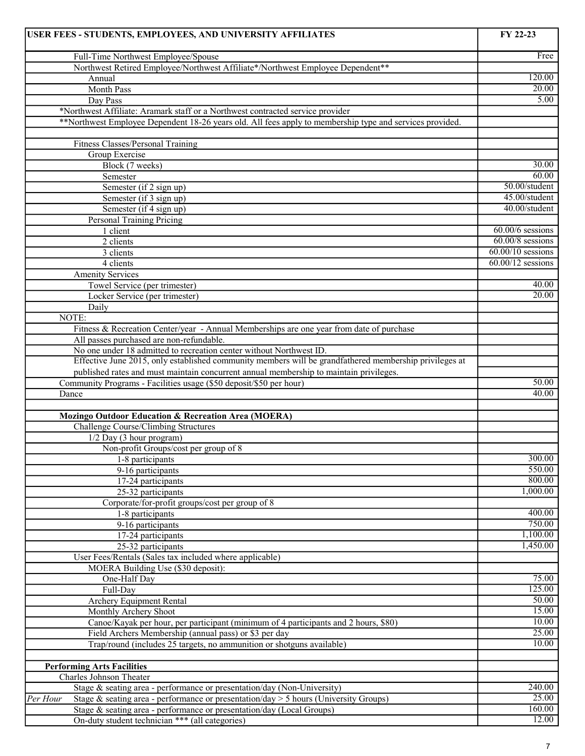| USER FEES - STUDENTS, EMPLOYEES, AND UNIVERSITY AFFILIATES                                               | FY 22-23            |
|----------------------------------------------------------------------------------------------------------|---------------------|
| Full-Time Northwest Employee/Spouse                                                                      | Free                |
| Northwest Retired Employee/Northwest Affiliate*/Northwest Employee Dependent**                           |                     |
| Annual                                                                                                   | 120.00              |
| Month Pass                                                                                               | 20.00               |
| Day Pass                                                                                                 | 5.00                |
| *Northwest Affiliate: Aramark staff or a Northwest contracted service provider                           |                     |
| **Northwest Employee Dependent 18-26 years old. All fees apply to membership type and services provided. |                     |
|                                                                                                          |                     |
| Fitness Classes/Personal Training                                                                        |                     |
| Group Exercise                                                                                           |                     |
| Block (7 weeks)                                                                                          | 30.00               |
| Semester                                                                                                 | 60.00               |
| Semester (if 2 sign up)                                                                                  | 50.00/student       |
| Semester (if 3 sign up)                                                                                  | 45.00/student       |
| Semester (if 4 sign up)                                                                                  | 40.00/student       |
| <b>Personal Training Pricing</b>                                                                         |                     |
| 1 client                                                                                                 | $60.00/6$ sessions  |
| 2 clients                                                                                                | $60.00/8$ sessions  |
| 3 clients                                                                                                | $60.00/10$ sessions |
| 4 clients                                                                                                | $60.00/12$ sessions |
| <b>Amenity Services</b>                                                                                  |                     |
| Towel Service (per trimester)                                                                            | 40.00               |
| Locker Service (per trimester)                                                                           | 20.00               |
| Daily                                                                                                    |                     |
| NOTE:                                                                                                    |                     |
| Fitness & Recreation Center/year - Annual Memberships are one year from date of purchase                 |                     |
| All passes purchased are non-refundable.                                                                 |                     |
| No one under 18 admitted to recreation center without Northwest ID.                                      |                     |
| Effective June 2015, only established community members will be grandfathered membership privileges at   |                     |
| published rates and must maintain concurrent annual membership to maintain privileges.                   |                     |
| Community Programs - Facilities usage (\$50 deposit/\$50 per hour)                                       | 50.00               |
| Dance                                                                                                    | 40.00               |
|                                                                                                          |                     |
| <b>Mozingo Outdoor Education &amp; Recreation Area (MOERA)</b>                                           |                     |
| Challenge Course/Climbing Structures                                                                     |                     |
| 1/2 Day (3 hour program)                                                                                 |                     |
| Non-profit Groups/cost per group of 8                                                                    |                     |
| 1-8 participants                                                                                         | 300.00              |
| 9-16 participants                                                                                        | 550.00              |
| 17-24 participants                                                                                       | 800.00              |
| 25-32 participants                                                                                       | 1,000.00            |
| Corporate/for-profit groups/cost per group of 8                                                          |                     |
| 1-8 participants                                                                                         | 400.00              |
| 9-16 participants                                                                                        | 750.00              |
| 17-24 participants                                                                                       | 1,100.00            |
| 25-32 participants                                                                                       | 1,450.00            |
| User Fees/Rentals (Sales tax included where applicable)                                                  |                     |
| MOERA Building Use (\$30 deposit):                                                                       |                     |
| One-Half Day                                                                                             | 75.00               |
| Full-Day                                                                                                 | 125.00              |
| <b>Archery Equipment Rental</b>                                                                          | 50.00               |
| Monthly Archery Shoot                                                                                    | 15.00               |
| Canoe/Kayak per hour, per participant (minimum of 4 participants and 2 hours, \$80)                      | 10.00               |
| Field Archers Membership (annual pass) or \$3 per day                                                    | 25.00               |
| Trap/round (includes 25 targets, no ammunition or shotguns available)                                    | 10.00               |
|                                                                                                          |                     |
| <b>Performing Arts Facilities</b>                                                                        |                     |
| Charles Johnson Theater                                                                                  |                     |
| Stage & seating area - performance or presentation/day (Non-University)                                  | 240.00              |
| Stage & seating area - performance or presentation/day > 5 hours (University Groups)<br>Per Hour         | 25.00               |
| Stage & seating area - performance or presentation/day (Local Groups)                                    | 160.00              |
| On-duty student technician *** (all categories)                                                          | 12.00               |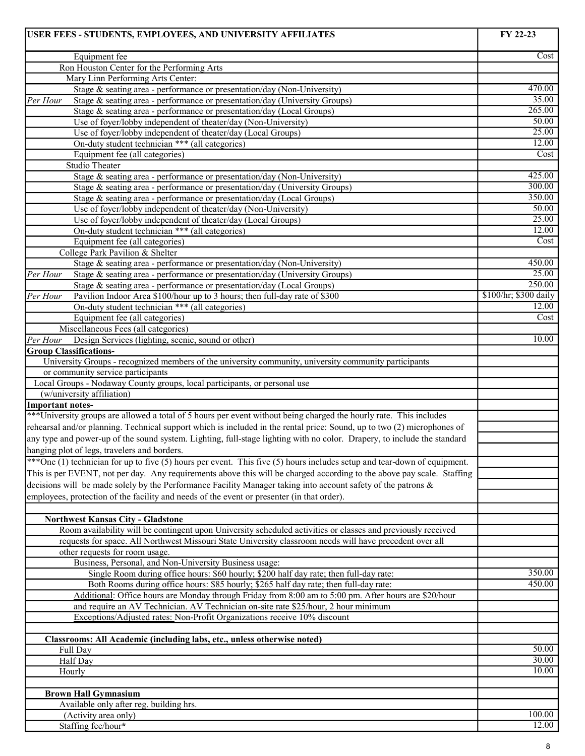| USER FEES - STUDENTS, EMPLOYEES, AND UNIVERSITY AFFILIATES                                                                                                     | FY 22-23              |
|----------------------------------------------------------------------------------------------------------------------------------------------------------------|-----------------------|
| Equipment fee                                                                                                                                                  | Cost                  |
| Ron Houston Center for the Performing Arts                                                                                                                     |                       |
| Mary Linn Performing Arts Center:                                                                                                                              |                       |
| Stage & seating area - performance or presentation/day (Non-University)                                                                                        | 470.00                |
| Stage & seating area - performance or presentation/day (University Groups)<br>Per Hour                                                                         | 35.00                 |
| Stage & seating area - performance or presentation/day (Local Groups)                                                                                          | 265.00<br>50.00       |
| Use of foyer/lobby independent of theater/day (Non-University)                                                                                                 | 25.00                 |
| Use of foyer/lobby independent of theater/day (Local Groups)<br>On-duty student technician *** (all categories)                                                | 12.00                 |
| Equipment fee (all categories)                                                                                                                                 | Cost                  |
| Studio Theater                                                                                                                                                 |                       |
| Stage & seating area - performance or presentation/day (Non-University)                                                                                        | 425.00                |
| Stage & seating area - performance or presentation/day (University Groups)                                                                                     | 300.00                |
| Stage & seating area - performance or presentation/day (Local Groups)                                                                                          | 350.00                |
| Use of foyer/lobby independent of theater/day (Non-University)                                                                                                 | 50.00                 |
| Use of foyer/lobby independent of theater/day (Local Groups)                                                                                                   | 25.00                 |
| On-duty student technician *** (all categories)                                                                                                                | 12.00                 |
| Equipment fee (all categories)                                                                                                                                 | Cost                  |
| College Park Pavilion & Shelter                                                                                                                                |                       |
| Stage & seating area - performance or presentation/day (Non-University)                                                                                        | 450.00                |
| Per Hour<br>Stage & seating area - performance or presentation/day (University Groups)                                                                         | 25.00                 |
| Stage & seating area - performance or presentation/day (Local Groups)                                                                                          | 250.00                |
| Per Hour<br>Pavilion Indoor Area \$100/hour up to 3 hours; then full-day rate of \$300                                                                         | \$100/hr; \$300 daily |
| On-duty student technician *** (all categories)                                                                                                                | 12.00<br>Cost         |
| Equipment fee (all categories)                                                                                                                                 |                       |
| Miscellaneous Fees (all categories)<br>Per Hour<br>Design Services (lighting, scenic, sound or other)                                                          | 10.00                 |
| <b>Group Classifications-</b>                                                                                                                                  |                       |
| University Groups - recognized members of the university community, university community participants                                                          |                       |
| or community service participants                                                                                                                              |                       |
| Local Groups - Nodaway County groups, local participants, or personal use                                                                                      |                       |
| (w/university affiliation)                                                                                                                                     |                       |
| <b>Important notes-</b>                                                                                                                                        |                       |
| *** University groups are allowed a total of 5 hours per event without being charged the hourly rate. This includes                                            |                       |
| rehearsal and/or planning. Technical support which is included in the rental price: Sound, up to two (2) microphones of                                        |                       |
| any type and power-up of the sound system. Lighting, full-stage lighting with no color. Drapery, to include the standard                                       |                       |
| hanging plot of legs, travelers and borders.                                                                                                                   |                       |
| ***One (1) technician for up to five (5) hours per event. This five (5) hours includes setup and tear-down of equipment.                                       |                       |
| This is per EVENT, not per day. Any requirements above this will be charged according to the above pay scale. Staffing                                         |                       |
| decisions will be made solely by the Performance Facility Manager taking into account safety of the patrons &                                                  |                       |
| employees, protection of the facility and needs of the event or presenter (in that order).                                                                     |                       |
|                                                                                                                                                                |                       |
| <b>Northwest Kansas City - Gladstone</b>                                                                                                                       |                       |
| Room availability will be contingent upon University scheduled activities or classes and previously received                                                   |                       |
| requests for space. All Northwest Missouri State University classroom needs will have precedent over all                                                       |                       |
| other requests for room usage.                                                                                                                                 |                       |
| Business, Personal, and Non-University Business usage:                                                                                                         |                       |
| Single Room during office hours: \$60 hourly; \$200 half day rate; then full-day rate:                                                                         | 350.00                |
| Both Rooms during office hours: \$85 hourly; \$265 half day rate; then full-day rate:                                                                          | 450.00                |
| Additional: Office hours are Monday through Friday from 8:00 am to 5:00 pm. After hours are \$20/hour                                                          |                       |
| and require an AV Technician. AV Technician on-site rate \$25/hour, 2 hour minimum<br>Exceptions/Adjusted rates: Non-Profit Organizations receive 10% discount |                       |
|                                                                                                                                                                |                       |
| Classrooms: All Academic (including labs, etc., unless otherwise noted)                                                                                        |                       |
| Full Day                                                                                                                                                       | 50.00                 |
| Half Day                                                                                                                                                       | 30.00                 |
| Hourly                                                                                                                                                         | 10.00                 |
|                                                                                                                                                                |                       |
| <b>Brown Hall Gymnasium</b>                                                                                                                                    |                       |
| Available only after reg. building hrs.                                                                                                                        |                       |
| (Activity area only)                                                                                                                                           | 100.00                |
| Staffing fee/hour*                                                                                                                                             | 12.00                 |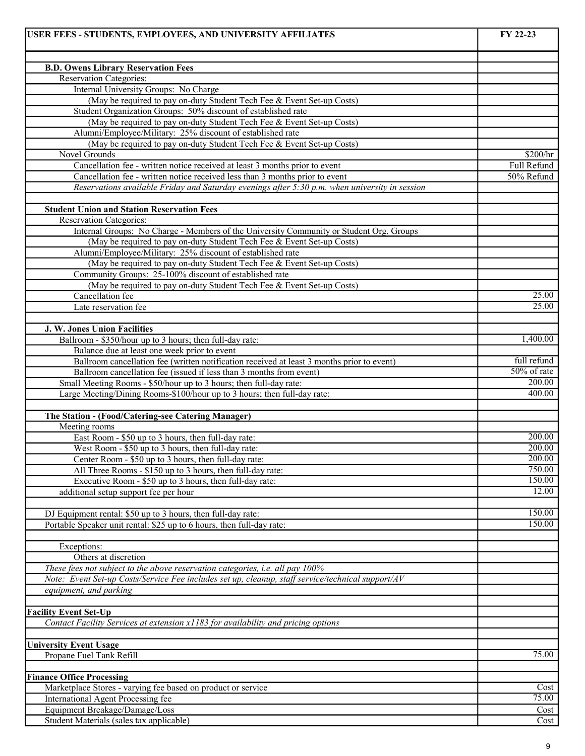| <b>B.D. Owens Library Reservation Fees</b><br><b>Reservation Categories:</b><br>Internal University Groups: No Charge<br>(May be required to pay on-duty Student Tech Fee & Event Set-up Costs)<br>Student Organization Groups: 50% discount of established rate<br>(May be required to pay on-duty Student Tech Fee & Event Set-up Costs)<br>Alumni/Employee/Military: 25% discount of established rate<br>(May be required to pay on-duty Student Tech Fee & Event Set-up Costs)<br>Novel Grounds<br>Cancellation fee - written notice received at least 3 months prior to event<br>Cancellation fee - written notice received less than 3 months prior to event<br>50% Refund<br>Reservations available Friday and Saturday evenings after 5:30 p.m. when university in session<br><b>Student Union and Station Reservation Fees</b><br><b>Reservation Categories:</b><br>Internal Groups: No Charge - Members of the University Community or Student Org. Groups<br>(May be required to pay on-duty Student Tech Fee & Event Set-up Costs)<br>Alumni/Employee/Military: 25% discount of established rate<br>(May be required to pay on-duty Student Tech Fee & Event Set-up Costs)<br>Community Groups: 25-100% discount of established rate<br>(May be required to pay on-duty Student Tech Fee & Event Set-up Costs)<br>25.00<br>Cancellation fee<br>25.00<br>Late reservation fee<br>J. W. Jones Union Facilities<br>1,400.00<br>Ballroom - \$350/hour up to 3 hours; then full-day rate:<br>Balance due at least one week prior to event<br>full refund<br>Ballroom cancellation fee (written notification received at least 3 months prior to event)<br>50% of rate<br>Ballroom cancellation fee (issued if less than 3 months from event)<br>200.00<br>Small Meeting Rooms - \$50/hour up to 3 hours; then full-day rate:<br>400.00<br>Large Meeting/Dining Rooms-\$100/hour up to 3 hours; then full-day rate:<br>The Station - (Food/Catering-see Catering Manager)<br>Meeting rooms<br>200.00<br>East Room - \$50 up to 3 hours, then full-day rate:<br>200.00<br>West Room - \$50 up to 3 hours, then full-day rate:<br>200.00<br>Center Room - \$50 up to 3 hours, then full-day rate:<br>750.00<br>All Three Rooms - \$150 up to 3 hours, then full-day rate:<br>150.00<br>Executive Room - \$50 up to 3 hours, then full-day rate:<br>12.00<br>additional setup support fee per hour<br>150.00<br>DJ Equipment rental: \$50 up to 3 hours, then full-day rate:<br>150.00<br>Portable Speaker unit rental: \$25 up to 6 hours, then full-day rate:<br>Exceptions:<br>Others at discretion<br>These fees not subject to the above reservation categories, i.e. all pay 100%<br>Note: Event Set-up Costs/Service Fee includes set up, cleanup, staff service/technical support/AV<br>equipment, and parking<br><b>Facility Event Set-Up</b><br>Contact Facility Services at extension x1183 for availability and pricing options<br><b>University Event Usage</b><br>75.00<br>Propane Fuel Tank Refill<br><b>Finance Office Processing</b><br>Marketplace Stores - varying fee based on product or service<br>75.00<br>International Agent Processing fee<br>Equipment Breakage/Damage/Loss<br>Cost<br>Student Materials (sales tax applicable) | USER FEES - STUDENTS, EMPLOYEES, AND UNIVERSITY AFFILIATES | FY 22-23 |
|---------------------------------------------------------------------------------------------------------------------------------------------------------------------------------------------------------------------------------------------------------------------------------------------------------------------------------------------------------------------------------------------------------------------------------------------------------------------------------------------------------------------------------------------------------------------------------------------------------------------------------------------------------------------------------------------------------------------------------------------------------------------------------------------------------------------------------------------------------------------------------------------------------------------------------------------------------------------------------------------------------------------------------------------------------------------------------------------------------------------------------------------------------------------------------------------------------------------------------------------------------------------------------------------------------------------------------------------------------------------------------------------------------------------------------------------------------------------------------------------------------------------------------------------------------------------------------------------------------------------------------------------------------------------------------------------------------------------------------------------------------------------------------------------------------------------------------------------------------------------------------------------------------------------------------------------------------------------------------------------------------------------------------------------------------------------------------------------------------------------------------------------------------------------------------------------------------------------------------------------------------------------------------------------------------------------------------------------------------------------------------------------------------------------------------------------------------------------------------------------------------------------------------------------------------------------------------------------------------------------------------------------------------------------------------------------------------------------------------------------------------------------------------------------------------------------------------------------------------------------------------------------------------------------------------------------------------------------------------------------------------------------------------------------------------------------------------------------------------------------------------------------------------------------------------------------------------------------------------------------------------------|------------------------------------------------------------|----------|
|                                                                                                                                                                                                                                                                                                                                                                                                                                                                                                                                                                                                                                                                                                                                                                                                                                                                                                                                                                                                                                                                                                                                                                                                                                                                                                                                                                                                                                                                                                                                                                                                                                                                                                                                                                                                                                                                                                                                                                                                                                                                                                                                                                                                                                                                                                                                                                                                                                                                                                                                                                                                                                                                                                                                                                                                                                                                                                                                                                                                                                                                                                                                                                                                                                                               |                                                            |          |
|                                                                                                                                                                                                                                                                                                                                                                                                                                                                                                                                                                                                                                                                                                                                                                                                                                                                                                                                                                                                                                                                                                                                                                                                                                                                                                                                                                                                                                                                                                                                                                                                                                                                                                                                                                                                                                                                                                                                                                                                                                                                                                                                                                                                                                                                                                                                                                                                                                                                                                                                                                                                                                                                                                                                                                                                                                                                                                                                                                                                                                                                                                                                                                                                                                                               |                                                            |          |
|                                                                                                                                                                                                                                                                                                                                                                                                                                                                                                                                                                                                                                                                                                                                                                                                                                                                                                                                                                                                                                                                                                                                                                                                                                                                                                                                                                                                                                                                                                                                                                                                                                                                                                                                                                                                                                                                                                                                                                                                                                                                                                                                                                                                                                                                                                                                                                                                                                                                                                                                                                                                                                                                                                                                                                                                                                                                                                                                                                                                                                                                                                                                                                                                                                                               |                                                            |          |
| \$200/hr<br>Full Refund<br>Cost                                                                                                                                                                                                                                                                                                                                                                                                                                                                                                                                                                                                                                                                                                                                                                                                                                                                                                                                                                                                                                                                                                                                                                                                                                                                                                                                                                                                                                                                                                                                                                                                                                                                                                                                                                                                                                                                                                                                                                                                                                                                                                                                                                                                                                                                                                                                                                                                                                                                                                                                                                                                                                                                                                                                                                                                                                                                                                                                                                                                                                                                                                                                                                                                                               |                                                            |          |
|                                                                                                                                                                                                                                                                                                                                                                                                                                                                                                                                                                                                                                                                                                                                                                                                                                                                                                                                                                                                                                                                                                                                                                                                                                                                                                                                                                                                                                                                                                                                                                                                                                                                                                                                                                                                                                                                                                                                                                                                                                                                                                                                                                                                                                                                                                                                                                                                                                                                                                                                                                                                                                                                                                                                                                                                                                                                                                                                                                                                                                                                                                                                                                                                                                                               |                                                            |          |
| Cost                                                                                                                                                                                                                                                                                                                                                                                                                                                                                                                                                                                                                                                                                                                                                                                                                                                                                                                                                                                                                                                                                                                                                                                                                                                                                                                                                                                                                                                                                                                                                                                                                                                                                                                                                                                                                                                                                                                                                                                                                                                                                                                                                                                                                                                                                                                                                                                                                                                                                                                                                                                                                                                                                                                                                                                                                                                                                                                                                                                                                                                                                                                                                                                                                                                          |                                                            |          |
|                                                                                                                                                                                                                                                                                                                                                                                                                                                                                                                                                                                                                                                                                                                                                                                                                                                                                                                                                                                                                                                                                                                                                                                                                                                                                                                                                                                                                                                                                                                                                                                                                                                                                                                                                                                                                                                                                                                                                                                                                                                                                                                                                                                                                                                                                                                                                                                                                                                                                                                                                                                                                                                                                                                                                                                                                                                                                                                                                                                                                                                                                                                                                                                                                                                               |                                                            |          |
|                                                                                                                                                                                                                                                                                                                                                                                                                                                                                                                                                                                                                                                                                                                                                                                                                                                                                                                                                                                                                                                                                                                                                                                                                                                                                                                                                                                                                                                                                                                                                                                                                                                                                                                                                                                                                                                                                                                                                                                                                                                                                                                                                                                                                                                                                                                                                                                                                                                                                                                                                                                                                                                                                                                                                                                                                                                                                                                                                                                                                                                                                                                                                                                                                                                               |                                                            |          |
|                                                                                                                                                                                                                                                                                                                                                                                                                                                                                                                                                                                                                                                                                                                                                                                                                                                                                                                                                                                                                                                                                                                                                                                                                                                                                                                                                                                                                                                                                                                                                                                                                                                                                                                                                                                                                                                                                                                                                                                                                                                                                                                                                                                                                                                                                                                                                                                                                                                                                                                                                                                                                                                                                                                                                                                                                                                                                                                                                                                                                                                                                                                                                                                                                                                               |                                                            |          |
|                                                                                                                                                                                                                                                                                                                                                                                                                                                                                                                                                                                                                                                                                                                                                                                                                                                                                                                                                                                                                                                                                                                                                                                                                                                                                                                                                                                                                                                                                                                                                                                                                                                                                                                                                                                                                                                                                                                                                                                                                                                                                                                                                                                                                                                                                                                                                                                                                                                                                                                                                                                                                                                                                                                                                                                                                                                                                                                                                                                                                                                                                                                                                                                                                                                               |                                                            |          |
|                                                                                                                                                                                                                                                                                                                                                                                                                                                                                                                                                                                                                                                                                                                                                                                                                                                                                                                                                                                                                                                                                                                                                                                                                                                                                                                                                                                                                                                                                                                                                                                                                                                                                                                                                                                                                                                                                                                                                                                                                                                                                                                                                                                                                                                                                                                                                                                                                                                                                                                                                                                                                                                                                                                                                                                                                                                                                                                                                                                                                                                                                                                                                                                                                                                               |                                                            |          |
|                                                                                                                                                                                                                                                                                                                                                                                                                                                                                                                                                                                                                                                                                                                                                                                                                                                                                                                                                                                                                                                                                                                                                                                                                                                                                                                                                                                                                                                                                                                                                                                                                                                                                                                                                                                                                                                                                                                                                                                                                                                                                                                                                                                                                                                                                                                                                                                                                                                                                                                                                                                                                                                                                                                                                                                                                                                                                                                                                                                                                                                                                                                                                                                                                                                               |                                                            |          |
|                                                                                                                                                                                                                                                                                                                                                                                                                                                                                                                                                                                                                                                                                                                                                                                                                                                                                                                                                                                                                                                                                                                                                                                                                                                                                                                                                                                                                                                                                                                                                                                                                                                                                                                                                                                                                                                                                                                                                                                                                                                                                                                                                                                                                                                                                                                                                                                                                                                                                                                                                                                                                                                                                                                                                                                                                                                                                                                                                                                                                                                                                                                                                                                                                                                               |                                                            |          |
|                                                                                                                                                                                                                                                                                                                                                                                                                                                                                                                                                                                                                                                                                                                                                                                                                                                                                                                                                                                                                                                                                                                                                                                                                                                                                                                                                                                                                                                                                                                                                                                                                                                                                                                                                                                                                                                                                                                                                                                                                                                                                                                                                                                                                                                                                                                                                                                                                                                                                                                                                                                                                                                                                                                                                                                                                                                                                                                                                                                                                                                                                                                                                                                                                                                               |                                                            |          |
|                                                                                                                                                                                                                                                                                                                                                                                                                                                                                                                                                                                                                                                                                                                                                                                                                                                                                                                                                                                                                                                                                                                                                                                                                                                                                                                                                                                                                                                                                                                                                                                                                                                                                                                                                                                                                                                                                                                                                                                                                                                                                                                                                                                                                                                                                                                                                                                                                                                                                                                                                                                                                                                                                                                                                                                                                                                                                                                                                                                                                                                                                                                                                                                                                                                               |                                                            |          |
|                                                                                                                                                                                                                                                                                                                                                                                                                                                                                                                                                                                                                                                                                                                                                                                                                                                                                                                                                                                                                                                                                                                                                                                                                                                                                                                                                                                                                                                                                                                                                                                                                                                                                                                                                                                                                                                                                                                                                                                                                                                                                                                                                                                                                                                                                                                                                                                                                                                                                                                                                                                                                                                                                                                                                                                                                                                                                                                                                                                                                                                                                                                                                                                                                                                               |                                                            |          |
|                                                                                                                                                                                                                                                                                                                                                                                                                                                                                                                                                                                                                                                                                                                                                                                                                                                                                                                                                                                                                                                                                                                                                                                                                                                                                                                                                                                                                                                                                                                                                                                                                                                                                                                                                                                                                                                                                                                                                                                                                                                                                                                                                                                                                                                                                                                                                                                                                                                                                                                                                                                                                                                                                                                                                                                                                                                                                                                                                                                                                                                                                                                                                                                                                                                               |                                                            |          |
|                                                                                                                                                                                                                                                                                                                                                                                                                                                                                                                                                                                                                                                                                                                                                                                                                                                                                                                                                                                                                                                                                                                                                                                                                                                                                                                                                                                                                                                                                                                                                                                                                                                                                                                                                                                                                                                                                                                                                                                                                                                                                                                                                                                                                                                                                                                                                                                                                                                                                                                                                                                                                                                                                                                                                                                                                                                                                                                                                                                                                                                                                                                                                                                                                                                               |                                                            |          |
|                                                                                                                                                                                                                                                                                                                                                                                                                                                                                                                                                                                                                                                                                                                                                                                                                                                                                                                                                                                                                                                                                                                                                                                                                                                                                                                                                                                                                                                                                                                                                                                                                                                                                                                                                                                                                                                                                                                                                                                                                                                                                                                                                                                                                                                                                                                                                                                                                                                                                                                                                                                                                                                                                                                                                                                                                                                                                                                                                                                                                                                                                                                                                                                                                                                               |                                                            |          |
|                                                                                                                                                                                                                                                                                                                                                                                                                                                                                                                                                                                                                                                                                                                                                                                                                                                                                                                                                                                                                                                                                                                                                                                                                                                                                                                                                                                                                                                                                                                                                                                                                                                                                                                                                                                                                                                                                                                                                                                                                                                                                                                                                                                                                                                                                                                                                                                                                                                                                                                                                                                                                                                                                                                                                                                                                                                                                                                                                                                                                                                                                                                                                                                                                                                               |                                                            |          |
|                                                                                                                                                                                                                                                                                                                                                                                                                                                                                                                                                                                                                                                                                                                                                                                                                                                                                                                                                                                                                                                                                                                                                                                                                                                                                                                                                                                                                                                                                                                                                                                                                                                                                                                                                                                                                                                                                                                                                                                                                                                                                                                                                                                                                                                                                                                                                                                                                                                                                                                                                                                                                                                                                                                                                                                                                                                                                                                                                                                                                                                                                                                                                                                                                                                               |                                                            |          |
|                                                                                                                                                                                                                                                                                                                                                                                                                                                                                                                                                                                                                                                                                                                                                                                                                                                                                                                                                                                                                                                                                                                                                                                                                                                                                                                                                                                                                                                                                                                                                                                                                                                                                                                                                                                                                                                                                                                                                                                                                                                                                                                                                                                                                                                                                                                                                                                                                                                                                                                                                                                                                                                                                                                                                                                                                                                                                                                                                                                                                                                                                                                                                                                                                                                               |                                                            |          |
|                                                                                                                                                                                                                                                                                                                                                                                                                                                                                                                                                                                                                                                                                                                                                                                                                                                                                                                                                                                                                                                                                                                                                                                                                                                                                                                                                                                                                                                                                                                                                                                                                                                                                                                                                                                                                                                                                                                                                                                                                                                                                                                                                                                                                                                                                                                                                                                                                                                                                                                                                                                                                                                                                                                                                                                                                                                                                                                                                                                                                                                                                                                                                                                                                                                               |                                                            |          |
|                                                                                                                                                                                                                                                                                                                                                                                                                                                                                                                                                                                                                                                                                                                                                                                                                                                                                                                                                                                                                                                                                                                                                                                                                                                                                                                                                                                                                                                                                                                                                                                                                                                                                                                                                                                                                                                                                                                                                                                                                                                                                                                                                                                                                                                                                                                                                                                                                                                                                                                                                                                                                                                                                                                                                                                                                                                                                                                                                                                                                                                                                                                                                                                                                                                               |                                                            |          |
|                                                                                                                                                                                                                                                                                                                                                                                                                                                                                                                                                                                                                                                                                                                                                                                                                                                                                                                                                                                                                                                                                                                                                                                                                                                                                                                                                                                                                                                                                                                                                                                                                                                                                                                                                                                                                                                                                                                                                                                                                                                                                                                                                                                                                                                                                                                                                                                                                                                                                                                                                                                                                                                                                                                                                                                                                                                                                                                                                                                                                                                                                                                                                                                                                                                               |                                                            |          |
|                                                                                                                                                                                                                                                                                                                                                                                                                                                                                                                                                                                                                                                                                                                                                                                                                                                                                                                                                                                                                                                                                                                                                                                                                                                                                                                                                                                                                                                                                                                                                                                                                                                                                                                                                                                                                                                                                                                                                                                                                                                                                                                                                                                                                                                                                                                                                                                                                                                                                                                                                                                                                                                                                                                                                                                                                                                                                                                                                                                                                                                                                                                                                                                                                                                               |                                                            |          |
|                                                                                                                                                                                                                                                                                                                                                                                                                                                                                                                                                                                                                                                                                                                                                                                                                                                                                                                                                                                                                                                                                                                                                                                                                                                                                                                                                                                                                                                                                                                                                                                                                                                                                                                                                                                                                                                                                                                                                                                                                                                                                                                                                                                                                                                                                                                                                                                                                                                                                                                                                                                                                                                                                                                                                                                                                                                                                                                                                                                                                                                                                                                                                                                                                                                               |                                                            |          |
|                                                                                                                                                                                                                                                                                                                                                                                                                                                                                                                                                                                                                                                                                                                                                                                                                                                                                                                                                                                                                                                                                                                                                                                                                                                                                                                                                                                                                                                                                                                                                                                                                                                                                                                                                                                                                                                                                                                                                                                                                                                                                                                                                                                                                                                                                                                                                                                                                                                                                                                                                                                                                                                                                                                                                                                                                                                                                                                                                                                                                                                                                                                                                                                                                                                               |                                                            |          |
|                                                                                                                                                                                                                                                                                                                                                                                                                                                                                                                                                                                                                                                                                                                                                                                                                                                                                                                                                                                                                                                                                                                                                                                                                                                                                                                                                                                                                                                                                                                                                                                                                                                                                                                                                                                                                                                                                                                                                                                                                                                                                                                                                                                                                                                                                                                                                                                                                                                                                                                                                                                                                                                                                                                                                                                                                                                                                                                                                                                                                                                                                                                                                                                                                                                               |                                                            |          |
|                                                                                                                                                                                                                                                                                                                                                                                                                                                                                                                                                                                                                                                                                                                                                                                                                                                                                                                                                                                                                                                                                                                                                                                                                                                                                                                                                                                                                                                                                                                                                                                                                                                                                                                                                                                                                                                                                                                                                                                                                                                                                                                                                                                                                                                                                                                                                                                                                                                                                                                                                                                                                                                                                                                                                                                                                                                                                                                                                                                                                                                                                                                                                                                                                                                               |                                                            |          |
|                                                                                                                                                                                                                                                                                                                                                                                                                                                                                                                                                                                                                                                                                                                                                                                                                                                                                                                                                                                                                                                                                                                                                                                                                                                                                                                                                                                                                                                                                                                                                                                                                                                                                                                                                                                                                                                                                                                                                                                                                                                                                                                                                                                                                                                                                                                                                                                                                                                                                                                                                                                                                                                                                                                                                                                                                                                                                                                                                                                                                                                                                                                                                                                                                                                               |                                                            |          |
|                                                                                                                                                                                                                                                                                                                                                                                                                                                                                                                                                                                                                                                                                                                                                                                                                                                                                                                                                                                                                                                                                                                                                                                                                                                                                                                                                                                                                                                                                                                                                                                                                                                                                                                                                                                                                                                                                                                                                                                                                                                                                                                                                                                                                                                                                                                                                                                                                                                                                                                                                                                                                                                                                                                                                                                                                                                                                                                                                                                                                                                                                                                                                                                                                                                               |                                                            |          |
|                                                                                                                                                                                                                                                                                                                                                                                                                                                                                                                                                                                                                                                                                                                                                                                                                                                                                                                                                                                                                                                                                                                                                                                                                                                                                                                                                                                                                                                                                                                                                                                                                                                                                                                                                                                                                                                                                                                                                                                                                                                                                                                                                                                                                                                                                                                                                                                                                                                                                                                                                                                                                                                                                                                                                                                                                                                                                                                                                                                                                                                                                                                                                                                                                                                               |                                                            |          |
|                                                                                                                                                                                                                                                                                                                                                                                                                                                                                                                                                                                                                                                                                                                                                                                                                                                                                                                                                                                                                                                                                                                                                                                                                                                                                                                                                                                                                                                                                                                                                                                                                                                                                                                                                                                                                                                                                                                                                                                                                                                                                                                                                                                                                                                                                                                                                                                                                                                                                                                                                                                                                                                                                                                                                                                                                                                                                                                                                                                                                                                                                                                                                                                                                                                               |                                                            |          |
|                                                                                                                                                                                                                                                                                                                                                                                                                                                                                                                                                                                                                                                                                                                                                                                                                                                                                                                                                                                                                                                                                                                                                                                                                                                                                                                                                                                                                                                                                                                                                                                                                                                                                                                                                                                                                                                                                                                                                                                                                                                                                                                                                                                                                                                                                                                                                                                                                                                                                                                                                                                                                                                                                                                                                                                                                                                                                                                                                                                                                                                                                                                                                                                                                                                               |                                                            |          |
|                                                                                                                                                                                                                                                                                                                                                                                                                                                                                                                                                                                                                                                                                                                                                                                                                                                                                                                                                                                                                                                                                                                                                                                                                                                                                                                                                                                                                                                                                                                                                                                                                                                                                                                                                                                                                                                                                                                                                                                                                                                                                                                                                                                                                                                                                                                                                                                                                                                                                                                                                                                                                                                                                                                                                                                                                                                                                                                                                                                                                                                                                                                                                                                                                                                               |                                                            |          |
|                                                                                                                                                                                                                                                                                                                                                                                                                                                                                                                                                                                                                                                                                                                                                                                                                                                                                                                                                                                                                                                                                                                                                                                                                                                                                                                                                                                                                                                                                                                                                                                                                                                                                                                                                                                                                                                                                                                                                                                                                                                                                                                                                                                                                                                                                                                                                                                                                                                                                                                                                                                                                                                                                                                                                                                                                                                                                                                                                                                                                                                                                                                                                                                                                                                               |                                                            |          |
|                                                                                                                                                                                                                                                                                                                                                                                                                                                                                                                                                                                                                                                                                                                                                                                                                                                                                                                                                                                                                                                                                                                                                                                                                                                                                                                                                                                                                                                                                                                                                                                                                                                                                                                                                                                                                                                                                                                                                                                                                                                                                                                                                                                                                                                                                                                                                                                                                                                                                                                                                                                                                                                                                                                                                                                                                                                                                                                                                                                                                                                                                                                                                                                                                                                               |                                                            |          |
|                                                                                                                                                                                                                                                                                                                                                                                                                                                                                                                                                                                                                                                                                                                                                                                                                                                                                                                                                                                                                                                                                                                                                                                                                                                                                                                                                                                                                                                                                                                                                                                                                                                                                                                                                                                                                                                                                                                                                                                                                                                                                                                                                                                                                                                                                                                                                                                                                                                                                                                                                                                                                                                                                                                                                                                                                                                                                                                                                                                                                                                                                                                                                                                                                                                               |                                                            |          |
|                                                                                                                                                                                                                                                                                                                                                                                                                                                                                                                                                                                                                                                                                                                                                                                                                                                                                                                                                                                                                                                                                                                                                                                                                                                                                                                                                                                                                                                                                                                                                                                                                                                                                                                                                                                                                                                                                                                                                                                                                                                                                                                                                                                                                                                                                                                                                                                                                                                                                                                                                                                                                                                                                                                                                                                                                                                                                                                                                                                                                                                                                                                                                                                                                                                               |                                                            |          |
|                                                                                                                                                                                                                                                                                                                                                                                                                                                                                                                                                                                                                                                                                                                                                                                                                                                                                                                                                                                                                                                                                                                                                                                                                                                                                                                                                                                                                                                                                                                                                                                                                                                                                                                                                                                                                                                                                                                                                                                                                                                                                                                                                                                                                                                                                                                                                                                                                                                                                                                                                                                                                                                                                                                                                                                                                                                                                                                                                                                                                                                                                                                                                                                                                                                               |                                                            |          |
|                                                                                                                                                                                                                                                                                                                                                                                                                                                                                                                                                                                                                                                                                                                                                                                                                                                                                                                                                                                                                                                                                                                                                                                                                                                                                                                                                                                                                                                                                                                                                                                                                                                                                                                                                                                                                                                                                                                                                                                                                                                                                                                                                                                                                                                                                                                                                                                                                                                                                                                                                                                                                                                                                                                                                                                                                                                                                                                                                                                                                                                                                                                                                                                                                                                               |                                                            |          |
|                                                                                                                                                                                                                                                                                                                                                                                                                                                                                                                                                                                                                                                                                                                                                                                                                                                                                                                                                                                                                                                                                                                                                                                                                                                                                                                                                                                                                                                                                                                                                                                                                                                                                                                                                                                                                                                                                                                                                                                                                                                                                                                                                                                                                                                                                                                                                                                                                                                                                                                                                                                                                                                                                                                                                                                                                                                                                                                                                                                                                                                                                                                                                                                                                                                               |                                                            |          |
|                                                                                                                                                                                                                                                                                                                                                                                                                                                                                                                                                                                                                                                                                                                                                                                                                                                                                                                                                                                                                                                                                                                                                                                                                                                                                                                                                                                                                                                                                                                                                                                                                                                                                                                                                                                                                                                                                                                                                                                                                                                                                                                                                                                                                                                                                                                                                                                                                                                                                                                                                                                                                                                                                                                                                                                                                                                                                                                                                                                                                                                                                                                                                                                                                                                               |                                                            |          |
|                                                                                                                                                                                                                                                                                                                                                                                                                                                                                                                                                                                                                                                                                                                                                                                                                                                                                                                                                                                                                                                                                                                                                                                                                                                                                                                                                                                                                                                                                                                                                                                                                                                                                                                                                                                                                                                                                                                                                                                                                                                                                                                                                                                                                                                                                                                                                                                                                                                                                                                                                                                                                                                                                                                                                                                                                                                                                                                                                                                                                                                                                                                                                                                                                                                               |                                                            |          |
|                                                                                                                                                                                                                                                                                                                                                                                                                                                                                                                                                                                                                                                                                                                                                                                                                                                                                                                                                                                                                                                                                                                                                                                                                                                                                                                                                                                                                                                                                                                                                                                                                                                                                                                                                                                                                                                                                                                                                                                                                                                                                                                                                                                                                                                                                                                                                                                                                                                                                                                                                                                                                                                                                                                                                                                                                                                                                                                                                                                                                                                                                                                                                                                                                                                               |                                                            |          |
|                                                                                                                                                                                                                                                                                                                                                                                                                                                                                                                                                                                                                                                                                                                                                                                                                                                                                                                                                                                                                                                                                                                                                                                                                                                                                                                                                                                                                                                                                                                                                                                                                                                                                                                                                                                                                                                                                                                                                                                                                                                                                                                                                                                                                                                                                                                                                                                                                                                                                                                                                                                                                                                                                                                                                                                                                                                                                                                                                                                                                                                                                                                                                                                                                                                               |                                                            |          |
|                                                                                                                                                                                                                                                                                                                                                                                                                                                                                                                                                                                                                                                                                                                                                                                                                                                                                                                                                                                                                                                                                                                                                                                                                                                                                                                                                                                                                                                                                                                                                                                                                                                                                                                                                                                                                                                                                                                                                                                                                                                                                                                                                                                                                                                                                                                                                                                                                                                                                                                                                                                                                                                                                                                                                                                                                                                                                                                                                                                                                                                                                                                                                                                                                                                               |                                                            |          |
|                                                                                                                                                                                                                                                                                                                                                                                                                                                                                                                                                                                                                                                                                                                                                                                                                                                                                                                                                                                                                                                                                                                                                                                                                                                                                                                                                                                                                                                                                                                                                                                                                                                                                                                                                                                                                                                                                                                                                                                                                                                                                                                                                                                                                                                                                                                                                                                                                                                                                                                                                                                                                                                                                                                                                                                                                                                                                                                                                                                                                                                                                                                                                                                                                                                               |                                                            |          |
|                                                                                                                                                                                                                                                                                                                                                                                                                                                                                                                                                                                                                                                                                                                                                                                                                                                                                                                                                                                                                                                                                                                                                                                                                                                                                                                                                                                                                                                                                                                                                                                                                                                                                                                                                                                                                                                                                                                                                                                                                                                                                                                                                                                                                                                                                                                                                                                                                                                                                                                                                                                                                                                                                                                                                                                                                                                                                                                                                                                                                                                                                                                                                                                                                                                               |                                                            |          |
|                                                                                                                                                                                                                                                                                                                                                                                                                                                                                                                                                                                                                                                                                                                                                                                                                                                                                                                                                                                                                                                                                                                                                                                                                                                                                                                                                                                                                                                                                                                                                                                                                                                                                                                                                                                                                                                                                                                                                                                                                                                                                                                                                                                                                                                                                                                                                                                                                                                                                                                                                                                                                                                                                                                                                                                                                                                                                                                                                                                                                                                                                                                                                                                                                                                               |                                                            |          |
|                                                                                                                                                                                                                                                                                                                                                                                                                                                                                                                                                                                                                                                                                                                                                                                                                                                                                                                                                                                                                                                                                                                                                                                                                                                                                                                                                                                                                                                                                                                                                                                                                                                                                                                                                                                                                                                                                                                                                                                                                                                                                                                                                                                                                                                                                                                                                                                                                                                                                                                                                                                                                                                                                                                                                                                                                                                                                                                                                                                                                                                                                                                                                                                                                                                               |                                                            |          |
|                                                                                                                                                                                                                                                                                                                                                                                                                                                                                                                                                                                                                                                                                                                                                                                                                                                                                                                                                                                                                                                                                                                                                                                                                                                                                                                                                                                                                                                                                                                                                                                                                                                                                                                                                                                                                                                                                                                                                                                                                                                                                                                                                                                                                                                                                                                                                                                                                                                                                                                                                                                                                                                                                                                                                                                                                                                                                                                                                                                                                                                                                                                                                                                                                                                               |                                                            |          |
|                                                                                                                                                                                                                                                                                                                                                                                                                                                                                                                                                                                                                                                                                                                                                                                                                                                                                                                                                                                                                                                                                                                                                                                                                                                                                                                                                                                                                                                                                                                                                                                                                                                                                                                                                                                                                                                                                                                                                                                                                                                                                                                                                                                                                                                                                                                                                                                                                                                                                                                                                                                                                                                                                                                                                                                                                                                                                                                                                                                                                                                                                                                                                                                                                                                               |                                                            |          |
|                                                                                                                                                                                                                                                                                                                                                                                                                                                                                                                                                                                                                                                                                                                                                                                                                                                                                                                                                                                                                                                                                                                                                                                                                                                                                                                                                                                                                                                                                                                                                                                                                                                                                                                                                                                                                                                                                                                                                                                                                                                                                                                                                                                                                                                                                                                                                                                                                                                                                                                                                                                                                                                                                                                                                                                                                                                                                                                                                                                                                                                                                                                                                                                                                                                               |                                                            |          |
|                                                                                                                                                                                                                                                                                                                                                                                                                                                                                                                                                                                                                                                                                                                                                                                                                                                                                                                                                                                                                                                                                                                                                                                                                                                                                                                                                                                                                                                                                                                                                                                                                                                                                                                                                                                                                                                                                                                                                                                                                                                                                                                                                                                                                                                                                                                                                                                                                                                                                                                                                                                                                                                                                                                                                                                                                                                                                                                                                                                                                                                                                                                                                                                                                                                               |                                                            |          |
|                                                                                                                                                                                                                                                                                                                                                                                                                                                                                                                                                                                                                                                                                                                                                                                                                                                                                                                                                                                                                                                                                                                                                                                                                                                                                                                                                                                                                                                                                                                                                                                                                                                                                                                                                                                                                                                                                                                                                                                                                                                                                                                                                                                                                                                                                                                                                                                                                                                                                                                                                                                                                                                                                                                                                                                                                                                                                                                                                                                                                                                                                                                                                                                                                                                               |                                                            |          |
|                                                                                                                                                                                                                                                                                                                                                                                                                                                                                                                                                                                                                                                                                                                                                                                                                                                                                                                                                                                                                                                                                                                                                                                                                                                                                                                                                                                                                                                                                                                                                                                                                                                                                                                                                                                                                                                                                                                                                                                                                                                                                                                                                                                                                                                                                                                                                                                                                                                                                                                                                                                                                                                                                                                                                                                                                                                                                                                                                                                                                                                                                                                                                                                                                                                               |                                                            |          |
|                                                                                                                                                                                                                                                                                                                                                                                                                                                                                                                                                                                                                                                                                                                                                                                                                                                                                                                                                                                                                                                                                                                                                                                                                                                                                                                                                                                                                                                                                                                                                                                                                                                                                                                                                                                                                                                                                                                                                                                                                                                                                                                                                                                                                                                                                                                                                                                                                                                                                                                                                                                                                                                                                                                                                                                                                                                                                                                                                                                                                                                                                                                                                                                                                                                               |                                                            |          |
|                                                                                                                                                                                                                                                                                                                                                                                                                                                                                                                                                                                                                                                                                                                                                                                                                                                                                                                                                                                                                                                                                                                                                                                                                                                                                                                                                                                                                                                                                                                                                                                                                                                                                                                                                                                                                                                                                                                                                                                                                                                                                                                                                                                                                                                                                                                                                                                                                                                                                                                                                                                                                                                                                                                                                                                                                                                                                                                                                                                                                                                                                                                                                                                                                                                               |                                                            |          |
|                                                                                                                                                                                                                                                                                                                                                                                                                                                                                                                                                                                                                                                                                                                                                                                                                                                                                                                                                                                                                                                                                                                                                                                                                                                                                                                                                                                                                                                                                                                                                                                                                                                                                                                                                                                                                                                                                                                                                                                                                                                                                                                                                                                                                                                                                                                                                                                                                                                                                                                                                                                                                                                                                                                                                                                                                                                                                                                                                                                                                                                                                                                                                                                                                                                               |                                                            |          |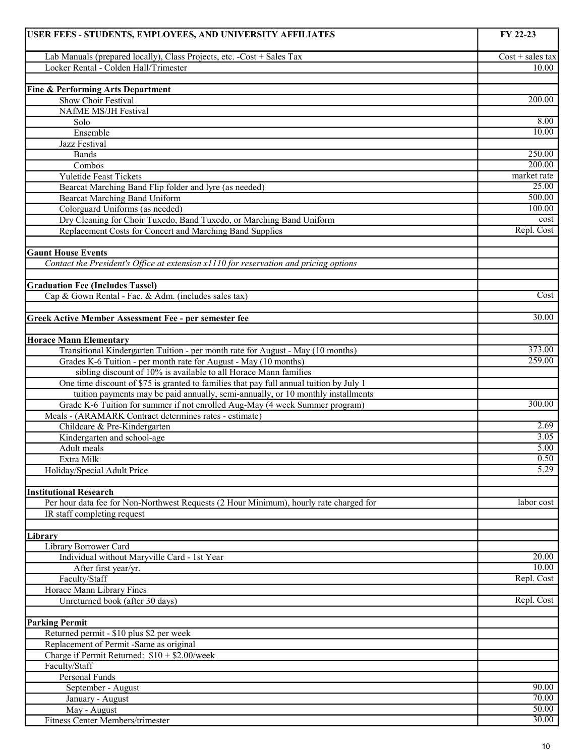| USER FEES - STUDENTS, EMPLOYEES, AND UNIVERSITY AFFILIATES                              | FY 22-23           |
|-----------------------------------------------------------------------------------------|--------------------|
| Lab Manuals (prepared locally), Class Projects, etc. -Cost + Sales Tax                  | $Cost + sales tax$ |
| Locker Rental - Colden Hall/Trimester                                                   | 10.00              |
|                                                                                         |                    |
| <b>Fine &amp; Performing Arts Department</b>                                            |                    |
| Show Choir Festival                                                                     | 200.00             |
| <b>NAfME MS/JH Festival</b>                                                             |                    |
| Solo                                                                                    | 8.00               |
| Ensemble                                                                                | 10.00              |
| Jazz Festival                                                                           |                    |
| Bands                                                                                   | 250.00             |
| Combos                                                                                  | 200.00             |
| <b>Yuletide Feast Tickets</b>                                                           | market rate        |
| Bearcat Marching Band Flip folder and lyre (as needed)                                  | 25.00              |
| <b>Bearcat Marching Band Uniform</b>                                                    | 500.00             |
| Colorguard Uniforms (as needed)                                                         | 100.00             |
| Dry Cleaning for Choir Tuxedo, Band Tuxedo, or Marching Band Uniform                    | cost               |
| Replacement Costs for Concert and Marching Band Supplies                                | Repl. Cost         |
|                                                                                         |                    |
| <b>Gaunt House Events</b>                                                               |                    |
| Contact the President's Office at extension x1110 for reservation and pricing options   |                    |
|                                                                                         |                    |
| <b>Graduation Fee (Includes Tassel)</b>                                                 |                    |
| Cap & Gown Rental - Fac. & Adm. (includes sales tax)                                    | Cost               |
|                                                                                         |                    |
| <b>Greek Active Member Assessment Fee - per semester fee</b>                            | 30.00              |
|                                                                                         |                    |
| <b>Horace Mann Elementary</b>                                                           |                    |
| Transitional Kindergarten Tuition - per month rate for August - May (10 months)         | 373.00             |
| Grades K-6 Tuition - per month rate for August - May (10 months)                        | 259.00             |
| sibling discount of 10% is available to all Horace Mann families                        |                    |
| One time discount of \$75 is granted to families that pay full annual tuition by July 1 |                    |
| tuition payments may be paid annually, semi-annually, or 10 monthly installments        |                    |
| Grade K-6 Tuition for summer if not enrolled Aug-May (4 week Summer program)            | 300.00             |
| Meals - (ARAMARK Contract determines rates - estimate)                                  |                    |
| Childcare & Pre-Kindergarten                                                            | 2.69               |
| Kindergarten and school-age                                                             | 3.05               |
| Adult meals                                                                             | 5.00               |
| Extra Milk                                                                              | 0.50               |
| Holiday/Special Adult Price                                                             | 5.29               |
|                                                                                         |                    |
| <b>Institutional Research</b>                                                           |                    |
| Per hour data fee for Non-Northwest Requests (2 Hour Minimum), hourly rate charged for  | labor cost         |
| IR staff completing request                                                             |                    |
|                                                                                         |                    |
| Library                                                                                 |                    |
| Library Borrower Card                                                                   |                    |
| Individual without Maryville Card - 1st Year                                            | 20.00              |
| After first year/yr.                                                                    | 10.00              |
| Faculty/Staff                                                                           | Repl. Cost         |
| Horace Mann Library Fines                                                               |                    |
| Unreturned book (after 30 days)                                                         | Repl. Cost         |
|                                                                                         |                    |
| <b>Parking Permit</b>                                                                   |                    |
| Returned permit - \$10 plus \$2 per week                                                |                    |
| Replacement of Permit -Same as original                                                 |                    |
| Charge if Permit Returned: $$10 + $2.00$ /week                                          |                    |
| Faculty/Staff                                                                           |                    |
| Personal Funds                                                                          |                    |
| September - August                                                                      | 90.00              |
| January - August                                                                        | 70.00              |
| May - August                                                                            | 50.00              |
| Fitness Center Members/trimester                                                        | 30.00              |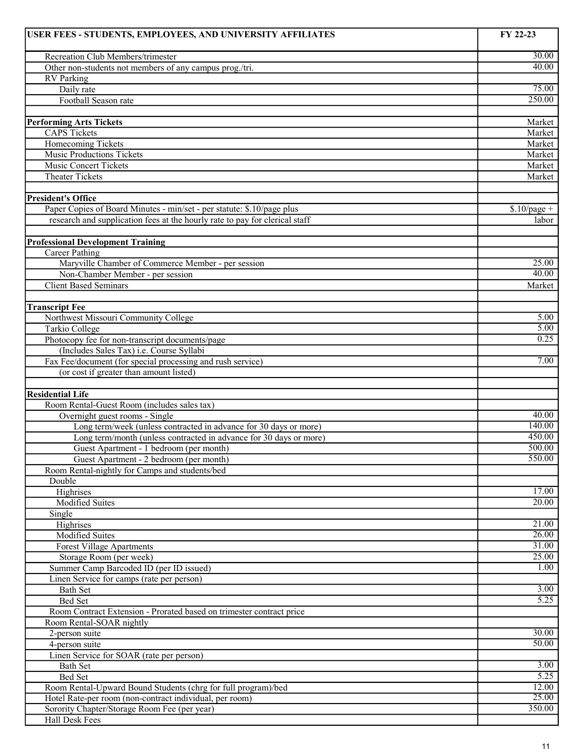| USER FEES - STUDENTS, EMPLOYEES, AND UNIVERSITY AFFILIATES                  | FY 22-23       |
|-----------------------------------------------------------------------------|----------------|
| Recreation Club Members/trimester                                           | 30.00          |
| Other non-students not members of any campus prog./tri.                     | 40.00          |
| <b>RV</b> Parking                                                           |                |
| Daily rate                                                                  | 75.00          |
| Football Season rate                                                        | 250.00         |
|                                                                             |                |
| <b>Performing Arts Tickets</b>                                              | Market         |
| <b>CAPS Tickets</b>                                                         | Market         |
| <b>Homecoming Tickets</b>                                                   | Market         |
| <b>Music Productions Tickets</b>                                            | Market         |
| <b>Music Concert Tickets</b>                                                | Market         |
| <b>Theater Tickets</b>                                                      | Market         |
|                                                                             |                |
| <b>President's Office</b>                                                   |                |
| Paper Copies of Board Minutes - min/set - per statute: \$.10/page plus      | $$.10$ /page + |
| research and supplication fees at the hourly rate to pay for clerical staff | labor          |
|                                                                             |                |
| <b>Professional Development Training</b>                                    |                |
| <b>Career Pathing</b>                                                       |                |
| Maryville Chamber of Commerce Member - per session                          | 25.00<br>40.00 |
| Non-Chamber Member - per session                                            |                |
| <b>Client Based Seminars</b>                                                | Market         |
|                                                                             |                |
| <b>Transcript Fee</b><br>Northwest Missouri Community College               | 5.00           |
| <b>Tarkio College</b>                                                       | 5.00           |
| Photocopy fee for non-transcript documents/page                             | 0.25           |
| (Includes Sales Tax) i.e. Course Syllabi                                    |                |
| Fax Fee/document (for special processing and rush service)                  | 7.00           |
| (or cost if greater than amount listed)                                     |                |
|                                                                             |                |
| <b>Residential Life</b>                                                     |                |
| Room Rental-Guest Room (includes sales tax)                                 |                |
| Overnight guest rooms - Single                                              | 40.00          |
| Long term/week (unless contracted in advance for 30 days or more)           | 140.00         |
| Long term/month (unless contracted in advance for 30 days or more)          | 450.00         |
| Guest Apartment - 1 bedroom (per month)                                     | 500.00         |
| Guest Apartment - 2 bedroom (per month)                                     | 550.00         |
| Room Rental-nightly for Camps and students/bed                              |                |
| Double                                                                      |                |
| Highrises                                                                   | 17.00          |
| Modified Suites                                                             | 20.00          |
| Single                                                                      |                |
| Highrises                                                                   | 21.00          |
| Modified Suites                                                             | 26.00<br>31.00 |
| <b>Forest Village Apartments</b>                                            | 25.00          |
| Storage Room (per week)                                                     | 1.00           |
| Summer Camp Barcoded ID (per ID issued)                                     |                |
| Linen Service for camps (rate per person)<br>Bath Set                       | 3.00           |
| Bed Set                                                                     | 5.25           |
| Room Contract Extension - Prorated based on trimester contract price        |                |
| Room Rental-SOAR nightly                                                    |                |
| 2-person suite                                                              | 30.00          |
| 4-person suite                                                              | 50.00          |
| Linen Service for SOAR (rate per person)                                    |                |
| <b>Bath Set</b>                                                             | 3.00           |
| Bed Set                                                                     | 5.25           |
| Room Rental-Upward Bound Students (chrg for full program)/bed               | 12.00          |
| Hotel Rate-per room (non-contract individual, per room)                     | 25.00          |
| Sorority Chapter/Storage Room Fee (per year)                                | 350.00         |
| Hall Desk Fees                                                              |                |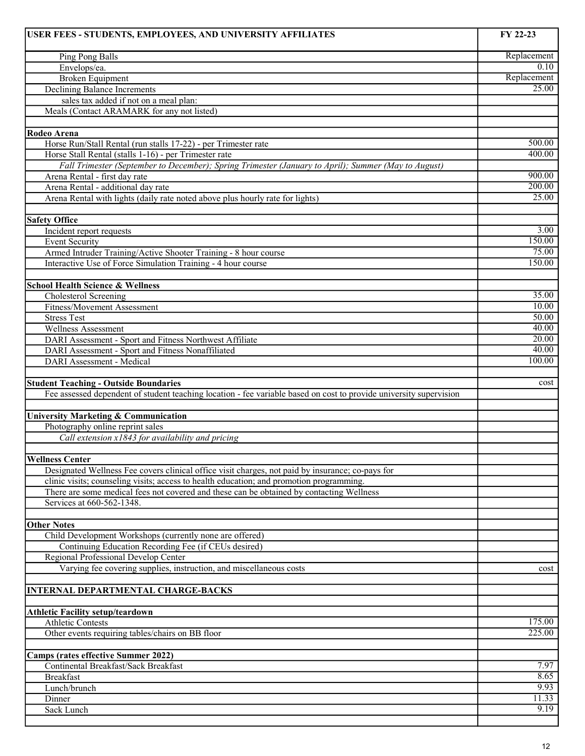| USER FEES - STUDENTS, EMPLOYEES, AND UNIVERSITY AFFILIATES                                                         | FY 22-23    |
|--------------------------------------------------------------------------------------------------------------------|-------------|
| Ping Pong Balls                                                                                                    | Replacement |
| Envelops/ea.                                                                                                       | 0.10        |
| <b>Broken Equipment</b>                                                                                            | Replacement |
| <b>Declining Balance Increments</b>                                                                                | 25.00       |
| sales tax added if not on a meal plan:                                                                             |             |
| Meals (Contact ARAMARK for any not listed)                                                                         |             |
|                                                                                                                    |             |
| Rodeo Arena<br>Horse Run/Stall Rental (run stalls 17-22) - per Trimester rate                                      | 500.00      |
| Horse Stall Rental (stalls 1-16) - per Trimester rate                                                              | 400.00      |
| Fall Trimester (September to December); Spring Trimester (January to April); Summer (May to August)                |             |
| Arena Rental - first day rate                                                                                      | 900.00      |
| Arena Rental - additional day rate                                                                                 | 200.00      |
| Arena Rental with lights (daily rate noted above plus hourly rate for lights)                                      | 25.00       |
|                                                                                                                    |             |
| <b>Safety Office</b>                                                                                               |             |
| Incident report requests                                                                                           | 3.00        |
| <b>Event Security</b>                                                                                              | 150.00      |
| Armed Intruder Training/Active Shooter Training - 8 hour course                                                    | 75.00       |
| Interactive Use of Force Simulation Training - 4 hour course                                                       | 150.00      |
| <b>School Health Science &amp; Wellness</b>                                                                        |             |
| Cholesterol Screening                                                                                              | 35.00       |
| <b>Fitness/Movement Assessment</b>                                                                                 | 10.00       |
| <b>Stress Test</b>                                                                                                 | 50.00       |
| <b>Wellness Assessment</b>                                                                                         | 40.00       |
| DARI Assessment - Sport and Fitness Northwest Affiliate                                                            | 20.00       |
| DARI Assessment - Sport and Fitness Nonaffiliated                                                                  | 40.00       |
| DARI Assessment - Medical                                                                                          | 100.00      |
|                                                                                                                    |             |
| <b>Student Teaching - Outside Boundaries</b>                                                                       | cost        |
| Fee assessed dependent of student teaching location - fee variable based on cost to provide university supervision |             |
| <b>University Marketing &amp; Communication</b>                                                                    |             |
| Photography online reprint sales                                                                                   |             |
| Call extension x1843 for availability and pricing                                                                  |             |
|                                                                                                                    |             |
| <b>Wellness Center</b>                                                                                             |             |
| Designated Wellness Fee covers clinical office visit charges, not paid by insurance; co-pays for                   |             |
| clinic visits; counseling visits; access to health education; and promotion programming.                           |             |
| There are some medical fees not covered and these can be obtained by contacting Wellness                           |             |
| Services at 660-562-1348.                                                                                          |             |
|                                                                                                                    |             |
| <b>Other Notes</b>                                                                                                 |             |
| Child Development Workshops (currently none are offered)                                                           |             |
| Continuing Education Recording Fee (if CEUs desired)                                                               |             |
| Regional Professional Develop Center<br>Varying fee covering supplies, instruction, and miscellaneous costs        |             |
|                                                                                                                    | cost        |
| <b>INTERNAL DEPARTMENTAL CHARGE-BACKS</b>                                                                          |             |
|                                                                                                                    |             |
| <b>Athletic Facility setup/teardown</b>                                                                            |             |
| <b>Athletic Contests</b>                                                                                           | 175.00      |
| Other events requiring tables/chairs on BB floor                                                                   | 225.00      |
|                                                                                                                    |             |
| <b>Camps (rates effective Summer 2022)</b><br>Continental Breakfast/Sack Breakfast                                 | 7.97        |
| <b>Breakfast</b>                                                                                                   | 8.65        |
| Lunch/brunch                                                                                                       | 9.93        |
| Dinner                                                                                                             | 11.33       |
| Sack Lunch                                                                                                         | 9.19        |
|                                                                                                                    |             |